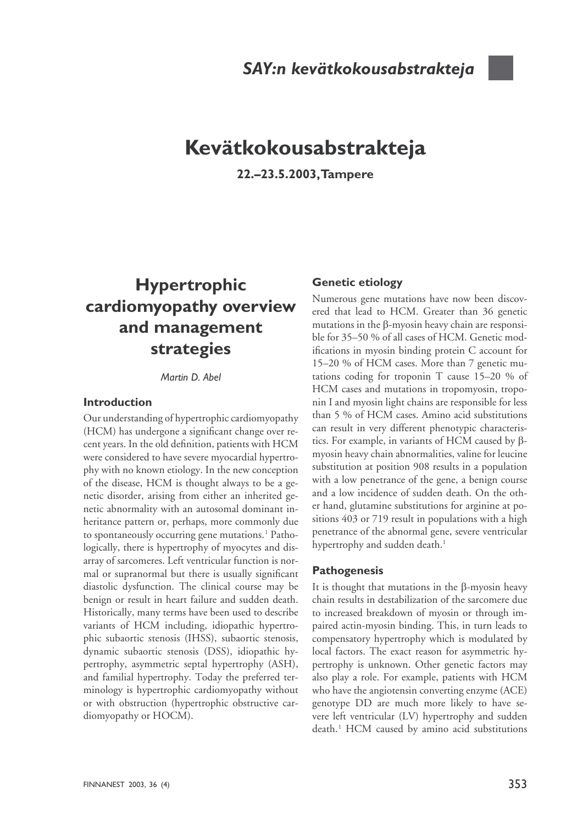# **Kevätkokousabstrakteja**

**22.–23.5.2003, Tampere**

## **Hypertrophic cardiomyopathy overview and management strategies**

*Martin D. Abel*

## **Introduction**

Our understanding of hypertrophic cardiomyopathy (HCM) has undergone a significant change over recent years. In the old definition, patients with HCM were considered to have severe myocardial hypertrophy with no known etiology. In the new conception of the disease, HCM is thought always to be a genetic disorder, arising from either an inherited genetic abnormality with an autosomal dominant inheritance pattern or, perhaps, more commonly due to spontaneously occurring gene mutations.<sup>1</sup> Pathologically, there is hypertrophy of myocytes and disarray of sarcomeres. Left ventricular function is normal or supranormal but there is usually significant diastolic dysfunction. The clinical course may be benign or result in heart failure and sudden death. Historically, many terms have been used to describe variants of HCM including, idiopathic hypertrophic subaortic stenosis (IHSS), subaortic stenosis, dynamic subaortic stenosis (DSS), idiopathic hypertrophy, asymmetric septal hypertrophy (ASH), and familial hypertrophy. Today the preferred terminology is hypertrophic cardiomyopathy without or with obstruction (hypertrophic obstructive cardiomyopathy or HOCM).

## **Genetic etiology**

Numerous gene mutations have now been discovered that lead to HCM. Greater than 36 genetic mutations in the β-myosin heavy chain are responsible for 35–50 % of all cases of HCM. Genetic modifications in myosin binding protein C account for 15–20 % of HCM cases. More than 7 genetic mutations coding for troponin T cause 15–20 % of HCM cases and mutations in tropomyosin, troponin I and myosin light chains are responsible for less than 5 % of HCM cases. Amino acid substitutions can result in very different phenotypic characteristics. For example, in variants of HCM caused by βmyosin heavy chain abnormalities, valine for leucine substitution at position 908 results in a population with a low penetrance of the gene, a benign course and a low incidence of sudden death. On the other hand, glutamine substitutions for arginine at positions 403 or 719 result in populations with a high penetrance of the abnormal gene, severe ventricular hypertrophy and sudden death.<sup>1</sup>

## **Pathogenesis**

It is thought that mutations in the β-myosin heavy chain results in destabilization of the sarcomere due to increased breakdown of myosin or through impaired actin-myosin binding. This, in turn leads to compensatory hypertrophy which is modulated by local factors. The exact reason for asymmetric hypertrophy is unknown. Other genetic factors may also play a role. For example, patients with HCM who have the angiotensin converting enzyme (ACE) genotype DD are much more likely to have severe left ventricular (LV) hypertrophy and sudden death.<sup>1</sup> HCM caused by amino acid substitutions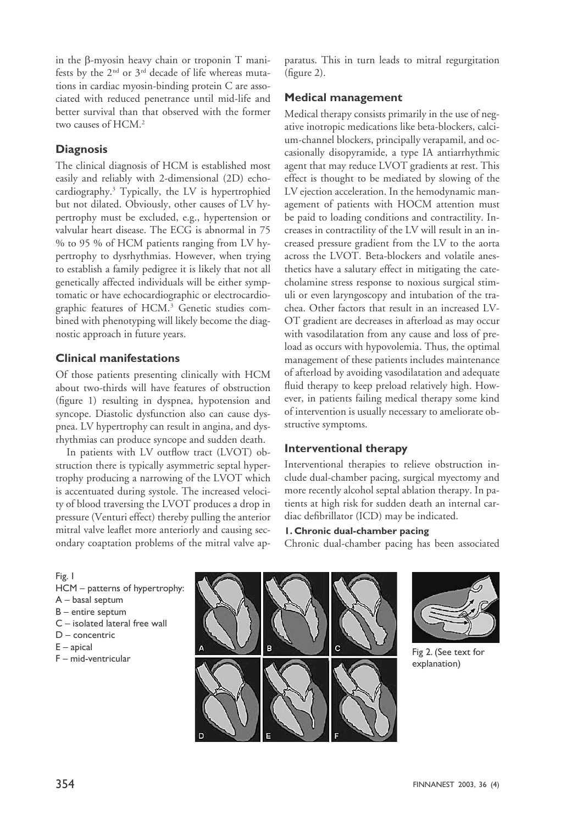in the β-myosin heavy chain or troponin T manifests by the  $2<sup>nd</sup>$  or  $3<sup>rd</sup>$  decade of life whereas mutations in cardiac myosin-binding protein C are associated with reduced penetrance until mid-life and better survival than that observed with the former two causes of HCM.2

## **Diagnosis**

The clinical diagnosis of HCM is established most easily and reliably with 2-dimensional (2D) echocardiography.3 Typically, the LV is hypertrophied but not dilated. Obviously, other causes of LV hypertrophy must be excluded, e.g., hypertension or valvular heart disease. The ECG is abnormal in 75 % to 95 % of HCM patients ranging from LV hypertrophy to dysrhythmias. However, when trying to establish a family pedigree it is likely that not all genetically affected individuals will be either symptomatic or have echocardiographic or electrocardiographic features of HCM.<sup>3</sup> Genetic studies combined with phenotyping will likely become the diagnostic approach in future years.

## **Clinical manifestations**

Of those patients presenting clinically with HCM about two-thirds will have features of obstruction (figure 1) resulting in dyspnea, hypotension and syncope. Diastolic dysfunction also can cause dyspnea. LV hypertrophy can result in angina, and dysrhythmias can produce syncope and sudden death.

In patients with LV outflow tract (LVOT) obstruction there is typically asymmetric septal hypertrophy producing a narrowing of the LVOT which is accentuated during systole. The increased velocity of blood traversing the LVOT produces a drop in pressure (Venturi effect) thereby pulling the anterior mitral valve leaflet more anteriorly and causing secondary coaptation problems of the mitral valve ap-

paratus. This in turn leads to mitral regurgitation (figure 2).

## **Medical management**

Medical therapy consists primarily in the use of negative inotropic medications like beta-blockers, calcium-channel blockers, principally verapamil, and occasionally disopyramide, a type IA antiarrhythmic agent that may reduce LVOT gradients at rest. This effect is thought to be mediated by slowing of the LV ejection acceleration. In the hemodynamic management of patients with HOCM attention must be paid to loading conditions and contractility. Increases in contractility of the LV will result in an increased pressure gradient from the LV to the aorta across the LVOT. Beta-blockers and volatile anesthetics have a salutary effect in mitigating the catecholamine stress response to noxious surgical stimuli or even laryngoscopy and intubation of the trachea. Other factors that result in an increased LV-OT gradient are decreases in afterload as may occur with vasodilatation from any cause and loss of preload as occurs with hypovolemia. Thus, the optimal management of these patients includes maintenance of afterload by avoiding vasodilatation and adequate fluid therapy to keep preload relatively high. However, in patients failing medical therapy some kind of intervention is usually necessary to ameliorate obstructive symptoms.

## **Interventional therapy**

Interventional therapies to relieve obstruction include dual-chamber pacing, surgical myectomy and more recently alcohol septal ablation therapy. In patients at high risk for sudden death an internal cardiac defibrillator (ICD) may be indicated.

## **1. Chronic dual-chamber pacing**

Chronic dual-chamber pacing has been associated

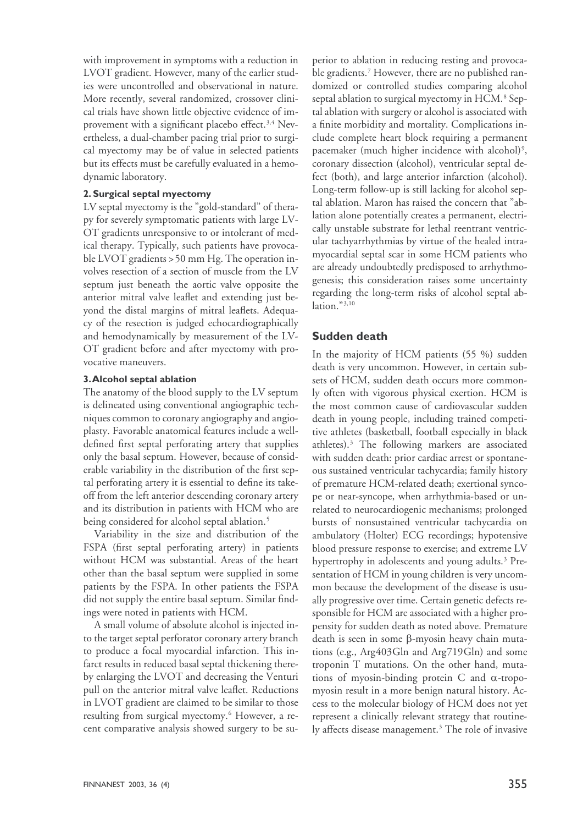with improvement in symptoms with a reduction in LVOT gradient. However, many of the earlier studies were uncontrolled and observational in nature. More recently, several randomized, crossover clinical trials have shown little objective evidence of improvement with a significant placebo effect.<sup>3,4</sup> Nevertheless, a dual-chamber pacing trial prior to surgical myectomy may be of value in selected patients but its effects must be carefully evaluated in a hemodynamic laboratory.

#### **2. Surgical septal myectomy**

LV septal myectomy is the "gold-standard" of therapy for severely symptomatic patients with large LV-OT gradients unresponsive to or intolerant of medical therapy. Typically, such patients have provocable LVOT gradients > 50 mm Hg. The operation involves resection of a section of muscle from the LV septum just beneath the aortic valve opposite the anterior mitral valve leaflet and extending just beyond the distal margins of mitral leaflets. Adequacy of the resection is judged echocardiographically and hemodynamically by measurement of the LV-OT gradient before and after myectomy with provocative maneuvers.

#### **3. Alcohol septal ablation**

The anatomy of the blood supply to the LV septum is delineated using conventional angiographic techniques common to coronary angiography and angioplasty. Favorable anatomical features include a welldefined first septal perforating artery that supplies only the basal septum. However, because of considerable variability in the distribution of the first septal perforating artery it is essential to define its takeoff from the left anterior descending coronary artery and its distribution in patients with HCM who are being considered for alcohol septal ablation.<sup>5</sup>

Variability in the size and distribution of the FSPA (first septal perforating artery) in patients without HCM was substantial. Areas of the heart other than the basal septum were supplied in some patients by the FSPA. In other patients the FSPA did not supply the entire basal septum. Similar findings were noted in patients with HCM.

A small volume of absolute alcohol is injected into the target septal perforator coronary artery branch to produce a focal myocardial infarction. This infarct results in reduced basal septal thickening thereby enlarging the LVOT and decreasing the Venturi pull on the anterior mitral valve leaflet. Reductions in LVOT gradient are claimed to be similar to those resulting from surgical myectomy.<sup>6</sup> However, a recent comparative analysis showed surgery to be su-

perior to ablation in reducing resting and provocable gradients.<sup>7</sup> However, there are no published randomized or controlled studies comparing alcohol septal ablation to surgical myectomy in HCM.<sup>8</sup> Septal ablation with surgery or alcohol is associated with a finite morbidity and mortality. Complications include complete heart block requiring a permanent pacemaker (much higher incidence with alcohol)<sup>9</sup>, coronary dissection (alcohol), ventricular septal defect (both), and large anterior infarction (alcohol). Long-term follow-up is still lacking for alcohol septal ablation. Maron has raised the concern that "ablation alone potentially creates a permanent, electrically unstable substrate for lethal reentrant ventricular tachyarrhythmias by virtue of the healed intramyocardial septal scar in some HCM patients who are already undoubtedly predisposed to arrhythmogenesis; this consideration raises some uncertainty regarding the long-term risks of alcohol septal ablation."<sup>3,10</sup>

## **Sudden death**

In the majority of HCM patients (55 %) sudden death is very uncommon. However, in certain subsets of HCM, sudden death occurs more commonly often with vigorous physical exertion. HCM is the most common cause of cardiovascular sudden death in young people, including trained competitive athletes (basketball, football especially in black athletes).<sup>3</sup> The following markers are associated with sudden death: prior cardiac arrest or spontaneous sustained ventricular tachycardia; family history of premature HCM-related death; exertional syncope or near-syncope, when arrhythmia-based or unrelated to neurocardiogenic mechanisms; prolonged bursts of nonsustained ventricular tachycardia on ambulatory (Holter) ECG recordings; hypotensive blood pressure response to exercise; and extreme LV hypertrophy in adolescents and young adults.<sup>3</sup> Presentation of HCM in young children is very uncommon because the development of the disease is usually progressive over time. Certain genetic defects responsible for HCM are associated with a higher propensity for sudden death as noted above. Premature death is seen in some β-myosin heavy chain mutations (e.g., Arg403Gln and Arg719Gln) and some troponin T mutations. On the other hand, mutations of myosin-binding protein C and α-tropomyosin result in a more benign natural history. Access to the molecular biology of HCM does not yet represent a clinically relevant strategy that routinely affects disease management.<sup>3</sup> The role of invasive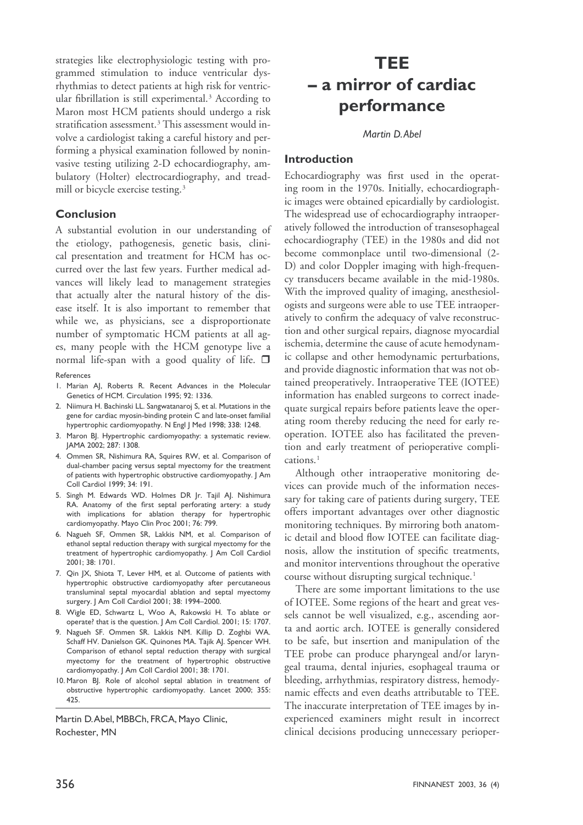strategies like electrophysiologic testing with programmed stimulation to induce ventricular dysrhythmias to detect patients at high risk for ventricular fibrillation is still experimental.<sup>3</sup> According to Maron most HCM patients should undergo a risk stratification assessment. 3 This assessment would involve a cardiologist taking a careful history and performing a physical examination followed by noninvasive testing utilizing 2-D echocardiography, ambulatory (Holter) electrocardiography, and treadmill or bicycle exercise testing.<sup>3</sup>

## **Conclusion**

A substantial evolution in our understanding of the etiology, pathogenesis, genetic basis, clinical presentation and treatment for HCM has occurred over the last few years. Further medical advances will likely lead to management strategies that actually alter the natural history of the disease itself. It is also important to remember that while we, as physicians, see a disproportionate number of symptomatic HCM patients at all ages, many people with the HCM genotype live a normal life-span with a good quality of life.  $\Box$ 

#### References

- 1. Marian AJ, Roberts R. Recent Advances in the Molecular Genetics of HCM. Circulation 1995; 92: 1336.
- 2. Niimura H. Bachinski LL. Sangwatanaroj S, et al. Mutations in the gene for cardiac myosin-binding protein C and late-onset familial hypertrophic cardiomyopathy. N Engl J Med 1998; 338: 1248.
- 3. Maron BJ. Hypertrophic cardiomyopathy: a systematic review. JAMA 2002; 287: 1308.
- 4. Ommen SR, Nishimura RA, Squires RW, et al. Comparison of dual-chamber pacing versus septal myectomy for the treatment of patients with hypertrophic obstructive cardiomyopathy. J Am Coll Cardiol 1999; 34: 191.
- 5. Singh M. Edwards WD. Holmes DR Jr. Tajil AJ. Nishimura RA. Anatomy of the first septal perforating artery: a study with implications for ablation therapy for hypertrophic cardiomyopathy. Mayo Clin Proc 2001; 76: 799.
- 6. Nagueh SF, Ommen SR, Lakkis NM, et al. Comparison of ethanol septal reduction therapy with surgical myectomy for the treatment of hypertrophic cardiomyopathy. J Am Coll Cardiol 2001; 38: 1701.
- 7. Qin JX, Shiota T, Lever HM, et al. Outcome of patients with hypertrophic obstructive cardiomyopathy after percutaneous transluminal septal myocardial ablation and septal myectomy surgery. J Am Coll Cardiol 2001; 38: 1994–2000.
- 8. Wigle ED, Schwartz L, Woo A, Rakowski H. To ablate or operate? that is the question. J Am Coll Cardiol. 2001; 15: 1707.
- 9. Nagueh SF. Ommen SR. Lakkis NM. Killip D. Zoghbi WA. Schaff HV. Danielson GK. Quinones MA. Tajik AJ. Spencer WH. Comparison of ethanol septal reduction therapy with surgical myectomy for the treatment of hypertrophic obstructive cardiomyopathy. J Am Coll Cardiol 2001; 38: 1701.
- 10. Maron BJ. Role of alcohol septal ablation in treatment of obstructive hypertrophic cardiomyopathy. Lancet 2000; 355: 425.

Martin D. Abel, MBBCh, FRCA, Mayo Clinic, Rochester, MN

# **TEE – a mirror of cardiac performance**

*Martin D. Abel*

## **Introduction**

Echocardiography was first used in the operating room in the 1970s. Initially, echocardiographic images were obtained epicardially by cardiologist. The widespread use of echocardiography intraoperatively followed the introduction of transesophageal echocardiography (TEE) in the 1980s and did not become commonplace until two-dimensional (2- D) and color Doppler imaging with high-frequency transducers became available in the mid-1980s. With the improved quality of imaging, anesthesiologists and surgeons were able to use TEE intraoperatively to confirm the adequacy of valve reconstruction and other surgical repairs, diagnose myocardial ischemia, determine the cause of acute hemodynamic collapse and other hemodynamic perturbations, and provide diagnostic information that was not obtained preoperatively. Intraoperative TEE (IOTEE) information has enabled surgeons to correct inadequate surgical repairs before patients leave the operating room thereby reducing the need for early reoperation. IOTEE also has facilitated the prevention and early treatment of perioperative complications.<sup>1</sup>

Although other intraoperative monitoring devices can provide much of the information necessary for taking care of patients during surgery, TEE offers important advantages over other diagnostic monitoring techniques. By mirroring both anatomic detail and blood flow IOTEE can facilitate diagnosis, allow the institution of specific treatments, and monitor interventions throughout the operative course without disrupting surgical technique.<sup>1</sup>

There are some important limitations to the use of IOTEE. Some regions of the heart and great vessels cannot be well visualized, e.g., ascending aorta and aortic arch. IOTEE is generally considered to be safe, but insertion and manipulation of the TEE probe can produce pharyngeal and/or laryngeal trauma, dental injuries, esophageal trauma or bleeding, arrhythmias, respiratory distress, hemodynamic effects and even deaths attributable to TEE. The inaccurate interpretation of TEE images by inexperienced examiners might result in incorrect clinical decisions producing unnecessary perioper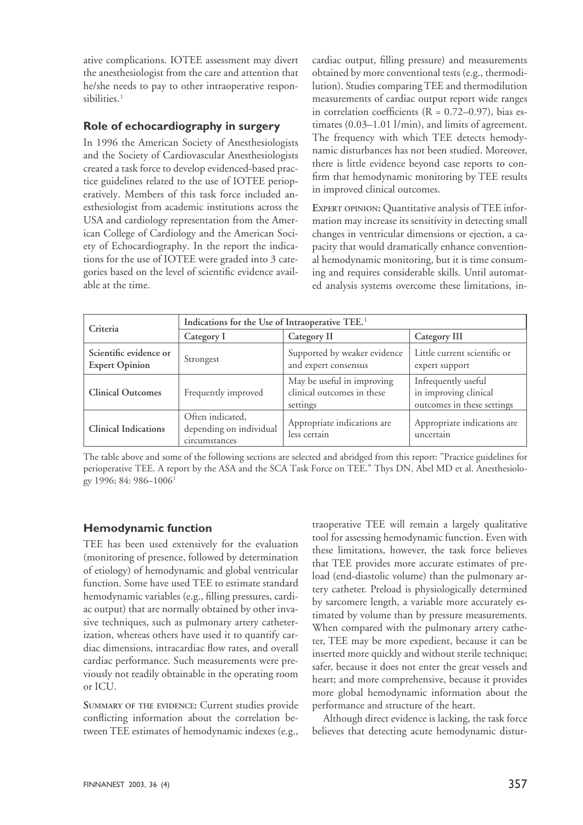ative complications. IOTEE assessment may divert the anesthesiologist from the care and attention that he/she needs to pay to other intraoperative responsibilities.<sup>1</sup>

## **Role of echocardiography in surgery**

In 1996 the American Society of Anesthesiologists and the Society of Cardiovascular Anesthesiologists created a task force to develop evidenced-based practice guidelines related to the use of IOTEE perioperatively. Members of this task force included anesthesiologist from academic institutions across the USA and cardiology representation from the American College of Cardiology and the American Society of Echocardiography. In the report the indications for the use of IOTEE were graded into 3 categories based on the level of scientific evidence available at the time.

cardiac output, filling pressure) and measurements obtained by more conventional tests (e.g., thermodilution). Studies comparing TEE and thermodilution measurements of cardiac output report wide ranges in correlation coefficients ( $R = 0.72{\text -}0.97$ ), bias estimates  $(0.03-1.01 \frac{1}{\text{min}})$ , and limits of agreement. The frequency with which TEE detects hemodynamic disturbances has not been studied. Moreover, there is little evidence beyond case reports to confirm that hemodynamic monitoring by TEE results in improved clinical outcomes.

**EXPERT OPINION:** Quantitative analysis of TEE information may increase its sensitivity in detecting small changes in ventricular dimensions or ejection, a capacity that would dramatically enhance conventional hemodynamic monitoring, but it is time consuming and requires considerable skills. Until automated analysis systems overcome these limitations, in-

| Criteria                                        | Indications for the Use of Intraoperative TEE. <sup>1</sup>  |                                                                      |                                                                            |  |
|-------------------------------------------------|--------------------------------------------------------------|----------------------------------------------------------------------|----------------------------------------------------------------------------|--|
|                                                 | Category I                                                   | Category II                                                          | Category III                                                               |  |
| Scientific evidence or<br><b>Expert Opinion</b> | Strongest                                                    | Supported by weaker evidence<br>and expert consensus                 | Little current scientific or<br>expert support                             |  |
| <b>Clinical Outcomes</b>                        | Frequently improved                                          | May be useful in improving<br>clinical outcomes in these<br>settings | Infrequently useful<br>in improving clinical<br>outcomes in these settings |  |
| <b>Clinical Indications</b>                     | Often indicated,<br>depending on individual<br>circumstances | Appropriate indications are<br>less certain                          | Appropriate indications are<br>uncertain                                   |  |

The table above and some of the following sections are selected and abridged from this report: "Practice guidelines for perioperative TEE. A report by the ASA and the SCA Task Force on TEE." Thys DN, Abel MD et al. Anesthesiology 1996; 84: 986-1006<sup>1</sup>

## **Hemodynamic function**

TEE has been used extensively for the evaluation (monitoring of presence, followed by determination of etiology) of hemodynamic and global ventricular function. Some have used TEE to estimate standard hemodynamic variables (e.g., filling pressures, cardiac output) that are normally obtained by other invasive techniques, such as pulmonary artery catheterization, whereas others have used it to quantify cardiac dimensions, intracardiac flow rates, and overall cardiac performance. Such measurements were previously not readily obtainable in the operating room or ICU.

**SUMMARY OF THE EVIDENCE:** Current studies provide conflicting information about the correlation between TEE estimates of hemodynamic indexes (e.g.,

traoperative TEE will remain a largely qualitative tool for assessing hemodynamic function. Even with these limitations, however, the task force believes that TEE provides more accurate estimates of preload (end-diastolic volume) than the pulmonary artery catheter. Preload is physiologically determined by sarcomere length, a variable more accurately estimated by volume than by pressure measurements. When compared with the pulmonary artery catheter, TEE may be more expedient, because it can be inserted more quickly and without sterile technique; safer, because it does not enter the great vessels and heart; and more comprehensive, because it provides more global hemodynamic information about the performance and structure of the heart.

Although direct evidence is lacking, the task force believes that detecting acute hemodynamic distur-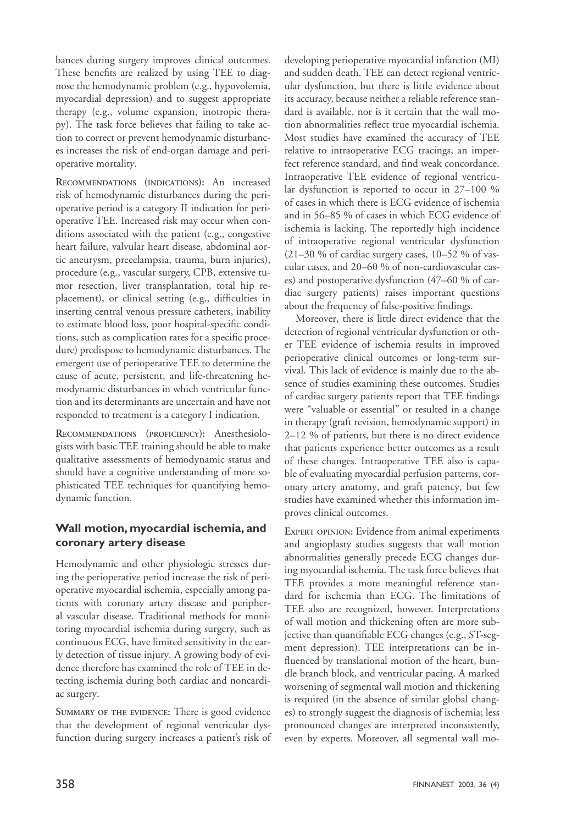bances during surgery improves clinical outcomes. These benefits are realized by using TEE to diagnose the hemodynamic problem (e.g., hypovolemia, myocardial depression) and to suggest appropriate therapy (e.g., volume expansion, inotropic therapy). The task force believes that failing to take action to correct or prevent hemodynamic disturbances increases the risk of end-organ damage and perioperative mortality.

**RECOMMENDATIONS (INDICATIONS):** An increased risk of hemodynamic disturbances during the perioperative period is a category II indication for perioperative TEE. Increased risk may occur when conditions associated with the patient (e.g., congestive heart failure, valvular heart disease, abdominal aortic aneurysm, preeclampsia, trauma, burn injuries), procedure (e.g., vascular surgery, CPB, extensive tumor resection, liver transplantation, total hip replacement), or clinical setting (e.g., difficulties in inserting central venous pressure catheters, inability to estimate blood loss, poor hospital-specific conditions, such as complication rates for a specific procedure) predispose to hemodynamic disturbances. The emergent use of perioperative TEE to determine the cause of acute, persistent, and life-threatening hemodynamic disturbances in which ventricular function and its determinants are uncertain and have not responded to treatment is a category I indication.

**RECOMMENDATIONS (PROFICIENCY):** Anesthesiologists with basic TEE training should be able to make qualitative assessments of hemodynamic status and should have a cognitive understanding of more sophisticated TEE techniques for quantifying hemodynamic function.

## **Wall motion, myocardial ischemia, and coronary artery disease**

Hemodynamic and other physiologic stresses during the perioperative period increase the risk of perioperative myocardial ischemia, especially among patients with coronary artery disease and peripheral vascular disease. Traditional methods for monitoring myocardial ischemia during surgery, such as continuous ECG, have limited sensitivity in the early detection of tissue injury. A growing body of evidence therefore has examined the role of TEE in detecting ischemia during both cardiac and noncardiac surgery.

**SUMMARY OF THE EVIDENCE:** There is good evidence that the development of regional ventricular dysfunction during surgery increases a patient's risk of

developing perioperative myocardial infarction (MI) and sudden death. TEE can detect regional ventricular dysfunction, but there is little evidence about its accuracy, because neither a reliable reference standard is available, nor is it certain that the wall motion abnormalities reflect true myocardial ischemia. Most studies have examined the accuracy of TEE relative to intraoperative ECG tracings, an imperfect reference standard, and find weak concordance. Intraoperative TEE evidence of regional ventricular dysfunction is reported to occur in 27–100 % of cases in which there is ECG evidence of ischemia and in 56–85 % of cases in which ECG evidence of ischemia is lacking. The reportedly high incidence of intraoperative regional ventricular dysfunction  $(21–30\%$  of cardiac surgery cases,  $10–52\%$  of vascular cases, and 20–60 % of non-cardiovascular cases) and postoperative dysfunction (47–60 % of cardiac surgery patients) raises important questions about the frequency of false-positive findings.

Moreover, there is little direct evidence that the detection of regional ventricular dysfunction or other TEE evidence of ischemia results in improved perioperative clinical outcomes or long-term survival. This lack of evidence is mainly due to the absence of studies examining these outcomes. Studies of cardiac surgery patients report that TEE findings were "valuable or essential" or resulted in a change in therapy (graft revision, hemodynamic support) in 2–12 % of patients, but there is no direct evidence that patients experience better outcomes as a result of these changes. Intraoperative TEE also is capable of evaluating myocardial perfusion patterns, coronary artery anatomy, and graft patency, but few studies have examined whether this information improves clinical outcomes.

**EXPERT OPINION:** Evidence from animal experiments and angioplasty studies suggests that wall motion abnormalities generally precede ECG changes during myocardial ischemia. The task force believes that TEE provides a more meaningful reference standard for ischemia than ECG. The limitations of TEE also are recognized, however. Interpretations of wall motion and thickening often are more subjective than quantifiable ECG changes (e.g., ST-segment depression). TEE interpretations can be influenced by translational motion of the heart, bundle branch block, and ventricular pacing. A marked worsening of segmental wall motion and thickening is required (in the absence of similar global changes) to strongly suggest the diagnosis of ischemia; less pronounced changes are interpreted inconsistently, even by experts. Moreover, all segmental wall mo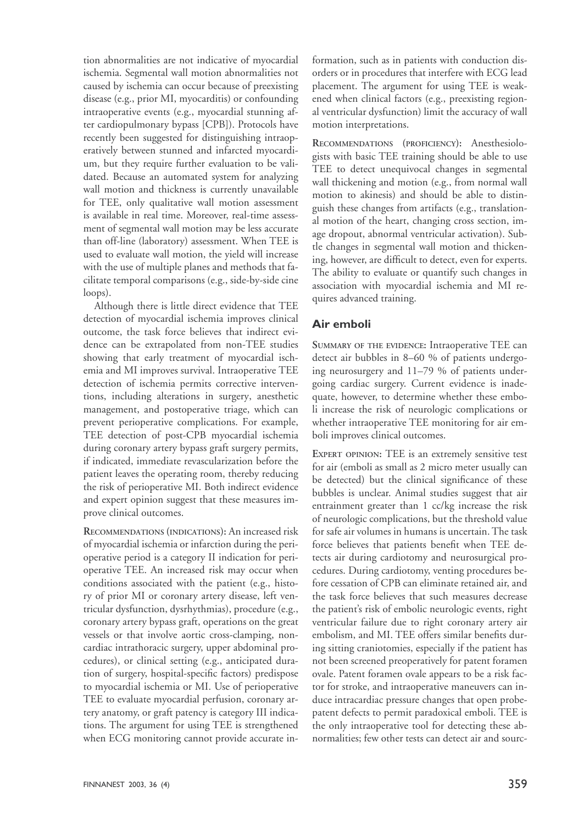tion abnormalities are not indicative of myocardial ischemia. Segmental wall motion abnormalities not caused by ischemia can occur because of preexisting disease (e.g., prior MI, myocarditis) or confounding intraoperative events (e.g., myocardial stunning after cardiopulmonary bypass [CPB]). Protocols have recently been suggested for distinguishing intraoperatively between stunned and infarcted myocardium, but they require further evaluation to be validated. Because an automated system for analyzing wall motion and thickness is currently unavailable for TEE, only qualitative wall motion assessment is available in real time. Moreover, real-time assessment of segmental wall motion may be less accurate than off-line (laboratory) assessment. When TEE is used to evaluate wall motion, the yield will increase with the use of multiple planes and methods that facilitate temporal comparisons (e.g., side-by-side cine loops).

Although there is little direct evidence that TEE detection of myocardial ischemia improves clinical outcome, the task force believes that indirect evidence can be extrapolated from non-TEE studies showing that early treatment of myocardial ischemia and MI improves survival. Intraoperative TEE detection of ischemia permits corrective interventions, including alterations in surgery, anesthetic management, and postoperative triage, which can prevent perioperative complications. For example, TEE detection of post-CPB myocardial ischemia during coronary artery bypass graft surgery permits, if indicated, immediate revascularization before the patient leaves the operating room, thereby reducing the risk of perioperative MI. Both indirect evidence and expert opinion suggest that these measures improve clinical outcomes.

**RECOMMENDATIONS (INDICATIONS):** An increased risk of myocardial ischemia or infarction during the perioperative period is a category II indication for perioperative TEE. An increased risk may occur when conditions associated with the patient (e.g., history of prior MI or coronary artery disease, left ventricular dysfunction, dysrhythmias), procedure (e.g., coronary artery bypass graft, operations on the great vessels or that involve aortic cross-clamping, noncardiac intrathoracic surgery, upper abdominal procedures), or clinical setting (e.g., anticipated duration of surgery, hospital-specific factors) predispose to myocardial ischemia or MI. Use of perioperative TEE to evaluate myocardial perfusion, coronary artery anatomy, or graft patency is category III indications. The argument for using TEE is strengthened when ECG monitoring cannot provide accurate information, such as in patients with conduction disorders or in procedures that interfere with ECG lead placement. The argument for using TEE is weakened when clinical factors (e.g., preexisting regional ventricular dysfunction) limit the accuracy of wall motion interpretations.

**RECOMMENDATIONS (PROFICIENCY):** Anesthesiologists with basic TEE training should be able to use TEE to detect unequivocal changes in segmental wall thickening and motion (e.g., from normal wall motion to akinesis) and should be able to distinguish these changes from artifacts (e.g., translational motion of the heart, changing cross section, image dropout, abnormal ventricular activation). Subtle changes in segmental wall motion and thickening, however, are difficult to detect, even for experts. The ability to evaluate or quantify such changes in association with myocardial ischemia and MI requires advanced training.

## **Air emboli**

**SUMMARY OF THE EVIDENCE:** Intraoperative TEE can detect air bubbles in 8–60 % of patients undergoing neurosurgery and 11–79 % of patients undergoing cardiac surgery. Current evidence is inadequate, however, to determine whether these emboli increase the risk of neurologic complications or whether intraoperative TEE monitoring for air emboli improves clinical outcomes.

EXPERT OPINION: TEE is an extremely sensitive test for air (emboli as small as 2 micro meter usually can be detected) but the clinical significance of these bubbles is unclear. Animal studies suggest that air entrainment greater than 1 cc/kg increase the risk of neurologic complications, but the threshold value for safe air volumes in humans is uncertain. The task force believes that patients benefit when TEE detects air during cardiotomy and neurosurgical procedures. During cardiotomy, venting procedures before cessation of CPB can eliminate retained air, and the task force believes that such measures decrease the patient's risk of embolic neurologic events, right ventricular failure due to right coronary artery air embolism, and MI. TEE offers similar benefits during sitting craniotomies, especially if the patient has not been screened preoperatively for patent foramen ovale. Patent foramen ovale appears to be a risk factor for stroke, and intraoperative maneuvers can induce intracardiac pressure changes that open probepatent defects to permit paradoxical emboli. TEE is the only intraoperative tool for detecting these abnormalities; few other tests can detect air and sourc-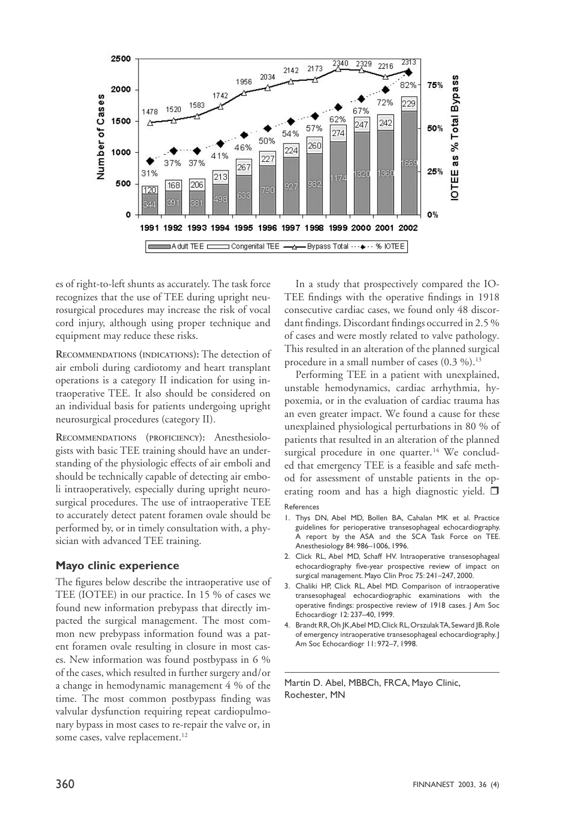

es of right-to-left shunts as accurately. The task force recognizes that the use of TEE during upright neurosurgical procedures may increase the risk of vocal cord injury, although using proper technique and equipment may reduce these risks.

**RECOMMENDATIONS (INDICATIONS):** The detection of air emboli during cardiotomy and heart transplant operations is a category II indication for using intraoperative TEE. It also should be considered on an individual basis for patients undergoing upright neurosurgical procedures (category II).

**RECOMMENDATIONS (PROFICIENCY):** Anesthesiologists with basic TEE training should have an understanding of the physiologic effects of air emboli and should be technically capable of detecting air emboli intraoperatively, especially during upright neurosurgical procedures. The use of intraoperative TEE to accurately detect patent foramen ovale should be performed by, or in timely consultation with, a physician with advanced TEE training.

## **Mayo clinic experience**

The figures below describe the intraoperative use of TEE (IOTEE) in our practice. In 15 % of cases we found new information prebypass that directly impacted the surgical management. The most common new prebypass information found was a patent foramen ovale resulting in closure in most cases. New information was found postbypass in 6 % of the cases, which resulted in further surgery and / or a change in hemodynamic management 4 % of the time. The most common postbypass finding was valvular dysfunction requiring repeat cardiopulmonary bypass in most cases to re-repair the valve or, in some cases, valve replacement.<sup>12</sup>

In a study that prospectively compared the IO-TEE findings with the operative findings in 1918 consecutive cardiac cases, we found only 48 discordant findings. Discordant findings occurred in 2.5 % of cases and were mostly related to valve pathology. This resulted in an alteration of the planned surgical procedure in a small number of cases (0.3 %).<sup>13</sup>

Performing TEE in a patient with unexplained, unstable hemodynamics, cardiac arrhythmia, hypoxemia, or in the evaluation of cardiac trauma has an even greater impact. We found a cause for these unexplained physiological perturbations in 80 % of patients that resulted in an alteration of the planned surgical procedure in one quarter.<sup>14</sup> We concluded that emergency TEE is a feasible and safe method for assessment of unstable patients in the operating room and has a high diagnostic yield.  $\Box$ 

References

- 1. Thys DN, Abel MD, Bollen BA, Cahalan MK et al. Practice guidelines for perioperative transesophageal echocardiography. A report by the ASA and the SCA Task Force on TEE. Anesthesiology 84: 986–1006, 1996.
- 2. Click RL, Abel MD, Schaff HV. Intraoperative transesophageal echocardiography five-year prospective review of impact on surgical management. Mayo Clin Proc 75: 241–247, 2000.
- 3. Chaliki HP, Click RL, Abel MD. Comparison of intraoperative transesophageal echocardiographic examinations with the operative findings: prospective review of 1918 cases. J Am Soc Echocardiogr 12: 237–40, 1999.
- 4. Brandt RR, Oh JK, Abel MD, Click RL, Orszulak TA, Seward JB. Role of emergency intraoperative transesophageal echocardiography. J Am Soc Echocardiogr 11: 972–7, 1998.

Martin D. Abel, MBBCh, FRCA, Mayo Clinic, Rochester, MN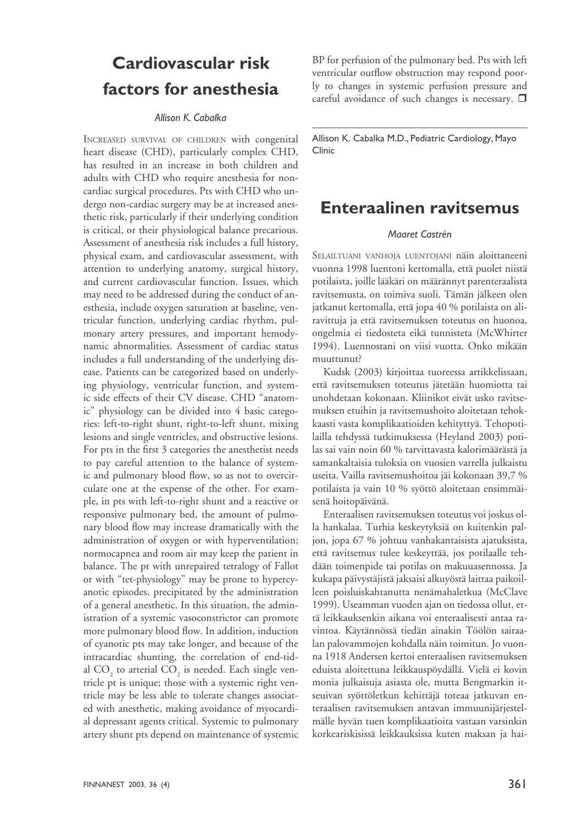# **Cardiovascular risk factors for anesthesia**

#### *Allison K. Cabalka*

INCREASED SURVIVAL OF CHILDREN with congenital heart disease (CHD), particularly complex CHD, has resulted in an increase in both children and adults with CHD who require anesthesia for noncardiac surgical procedures. Pts with CHD who undergo non-cardiac surgery may be at increased anesthetic risk, particularly if their underlying condition is critical, or their physiological balance precarious. Assessment of anesthesia risk includes a full history, physical exam, and cardiovascular assessment, with attention to underlying anatomy, surgical history, and current cardiovascular function. Issues, which may need to be addressed during the conduct of anesthesia, include oxygen saturation at baseline, ventricular function, underlying cardiac rhythm, pulmonary artery pressures, and important hemodynamic abnormalities. Assessment of cardiac status includes a full understanding of the underlying disease. Patients can be categorized based on underlying physiology, ventricular function, and systemic side effects of their CV disease. CHD "anatomic" physiology can be divided into 4 basic categories: left-to-right shunt, right-to-left shunt, mixing lesions and single ventricles, and obstructive lesions. For pts in the first 3 categories the anesthetist needs to pay careful attention to the balance of systemic and pulmonary blood flow, so as not to overcirculate one at the expense of the other. For example, in pts with left-to-right shunt and a reactive or responsive pulmonary bed, the amount of pulmonary blood flow may increase dramatically with the administration of oxygen or with hyperventilation; normocapnea and room air may keep the patient in balance. The pt with unrepaired tetralogy of Fallot or with "tet-physiology" may be prone to hypercyanotic episodes, precipitated by the administration of a general anesthetic. In this situation, the administration of a systemic vasoconstrictor can promote more pulmonary blood flow. In addition, induction of cyanotic pts may take longer, and because of the intracardiac shunting, the correlation of end-tidal CO<sub>2</sub> to arterial CO<sub>2</sub> is needed. Each single ventricle pt is unique; those with a systemic right ventricle may be less able to tolerate changes associated with anesthetic, making avoidance of myocardial depressant agents critical. Systemic to pulmonary artery shunt pts depend on maintenance of systemic

BP for perfusion of the pulmonary bed. Pts with left ventricular outflow obstruction may respond poorly to changes in systemic perfusion pressure and careful avoidance of such changes is necessary.  $\Box$ 

Allison K. Cabalka M.D., Pediatric Cardiology, Mayo Clinic

## **Enteraalinen ravitsemus**

#### *Maaret Castrén*

SELAILTUANI VANHOJA LUENTOJANI näin aloittaneeni vuonna 1998 luentoni kertomalla, että puolet niistä potilaista, joille lääkäri on määrännyt parenteraalista ravitsemusta, on toimiva suoli. Tämän jälkeen olen jatkanut kertomalla, että jopa 40 % potilaista on aliravittuja ja että ravitsemuksen toteutus on huonoa, ongelmia ei tiedosteta eikä tunnisteta (McWhirter 1994). Luennostani on viisi vuotta. Onko mikään muuttunut?

Kudsk (2003) kirjoittaa tuoreessa artikkelissaan, että ravitsemuksen toteutus jätetään huomiotta tai unohdetaan kokonaan. Kliinikot eivät usko ravitsemuksen etuihin ja ravitsemushoito aloitetaan tehokkaasti vasta komplikaatioiden kehityttyä. Tehopotilailla tehdyssä tutkimuksessa (Heyland 2003) potilas sai vain noin 60 % tarvittavasta kalorimäärästä ja samankaltaisia tuloksia on vuosien varrella julkaistu useita. Vailla ravitsemushoitoa jäi kokonaan 39,7 % potilaista ja vain 10 % syöttö aloitetaan ensimmäisenä hoitopäivänä.

Enteraalisen ravitsemuksen toteutus voi joskus olla hankalaa. Turhia keskeytyksiä on kuitenkin paljon, jopa 67 % johtuu vanhakantaisista ajatuksista, että ravitsemus tulee keskeyttää, jos potilaalle tehdään toimenpide tai potilas on makuuasennossa. Ja kukapa päivystäjistä jaksaisi alkuyöstä laittaa paikoilleen poisluiskahtanutta nenämahaletkua (McClave 1999). Useamman vuoden ajan on tiedossa ollut, että leikkauksenkin aikana voi enteraalisesti antaa ravintoa. Käytännössä tiedän ainakin Töölön sairaalan palovammojen kohdalla näin toimitun. Jo vuonna 1918 Andersen kertoi enteraalisen ravitsemuksen eduista aloitettuna leikkauspöydällä. Vielä ei kovin monia julkaisuja asiasta ole, mutta Bengmarkin itseuivan syöttöletkun kehittäjä toteaa jatkuvan enteraalisen ravitsemuksen antavan immuunijärjestelmälle hyvän tuen komplikaatioita vastaan varsinkin korkeariskisissä leikkauksissa kuten maksan ja hai-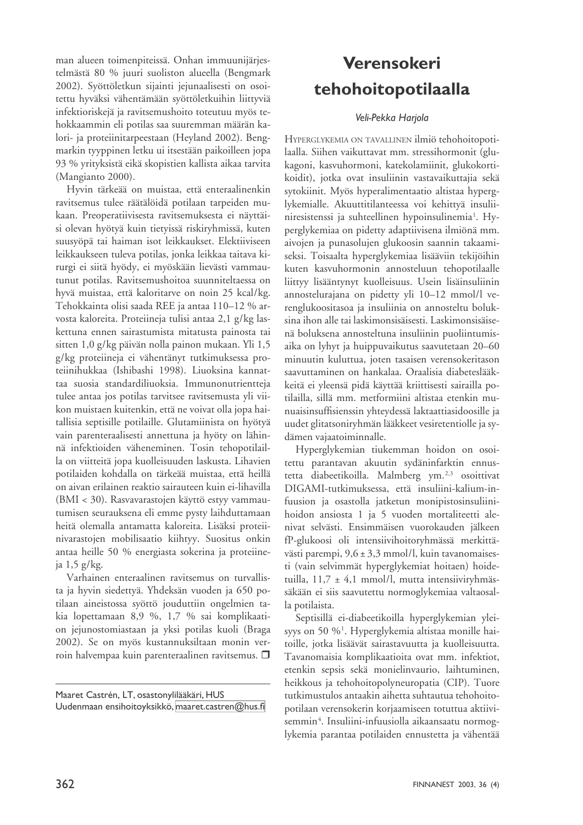man alueen toimenpiteissä. Onhan immuunijärjestelmästä 80 % juuri suoliston alueella (Bengmark 2002). Syöttöletkun sijainti jejunaalisesti on osoitettu hyväksi vähentämään syöttöletkuihin liittyviä infektioriskejä ja ravitsemushoito toteutuu myös tehokkaammin eli potilas saa suuremman määrän kalori- ja proteiinitarpeestaan (Heyland 2002). Bengmarkin tyyppinen letku ui itsestään paikoilleen jopa 93 % yrityksistä eikä skopistien kallista aikaa tarvita (Mangianto 2000).

Hyvin tärkeää on muistaa, että enteraalinenkin ravitsemus tulee räätälöidä potilaan tarpeiden mukaan. Preoperatiivisesta ravitsemuksesta ei näyttäisi olevan hyötyä kuin tietyissä riskiryhmissä, kuten suusyöpä tai haiman isot leikkaukset. Elektiiviseen leikkaukseen tuleva potilas, jonka leikkaa taitava kirurgi ei siitä hyödy, ei myöskään lievästi vammautunut potilas. Ravitsemushoitoa suunniteltaessa on hyvä muistaa, että kaloritarve on noin 25 kcal/kg. Tehokkainta olisi saada REE ja antaa 110–12 % arvosta kaloreita. Proteiineja tulisi antaa 2,1 g/kg laskettuna ennen sairastumista mitatusta painosta tai sitten 1,0 g/kg päivän nolla painon mukaan. Yli 1,5 g/kg proteiineja ei vähentänyt tutkimuksessa proteiinihukkaa (Ishibashi 1998). Liuoksina kannattaa suosia standardiliuoksia. Immunonutrientteja tulee antaa jos potilas tarvitsee ravitsemusta yli viikon muistaen kuitenkin, että ne voivat olla jopa haitallisia septisille potilaille. Glutamiinista on hyötyä vain parenteraalisesti annettuna ja hyöty on lähinnä infektioiden väheneminen. Tosin tehopotilailla on viitteitä jopa kuolleisuuden laskusta. Lihavien potilaiden kohdalla on tärkeää muistaa, että heillä on aivan erilainen reaktio sairauteen kuin ei-lihavilla (BMI < 30). Rasvavarastojen käyttö estyy vammautumisen seurauksena eli emme pysty laihduttamaan heitä olemalla antamatta kaloreita. Lisäksi proteiinivarastojen mobilisaatio kiihtyy. Suositus onkin antaa heille 50 % energiasta sokerina ja proteiineja  $1,5$  g/kg.

Varhainen enteraalinen ravitsemus on turvallista ja hyvin siedettyä. Yhdeksän vuoden ja 650 potilaan aineistossa syöttö jouduttiin ongelmien takia lopettamaan 8,9 %, 1,7 % sai komplikaation jejunostomiastaan ja yksi potilas kuoli (Braga 2002). Se on myös kustannuksiltaan monin verroin halvempaa kuin parenteraalinen ravitsemus.  $\Box$ 

# **Verensokeri tehohoitopotilaalla**

### *Veli-Pekka Harjola*

HYPERGLYKEMIA ON TAVALLINEN ilmiö tehohoitopotilaalla. Siihen vaikuttavat mm. stressihormonit (glukagoni, kasvuhormoni, katekolamiinit, glukokortikoidit), jotka ovat insuliinin vastavaikuttajia sekä sytokiinit. Myös hyperalimentaatio altistaa hyperglykemialle. Akuuttitilanteessa voi kehittyä insuliiniresistenssi ja suhteellinen hypoinsulinemia<sup>1</sup>. Hyperglykemiaa on pidetty adaptiivisena ilmiönä mm. aivojen ja punasolujen glukoosin saannin takaamiseksi. Toisaalta hyperglykemiaa lisääviin tekijöihin kuten kasvuhormonin annosteluun tehopotilaalle liittyy lisääntynyt kuolleisuus. Usein lisäinsuliinin annostelurajana on pidetty yli 10-12 mmol/l verenglukoositasoa ja insuliinia on annosteltu boluksina ihon alle tai laskimonsisäisesti. Laskimonsisäisenä boluksena annosteltuna insuliinin puoliintumisaika on lyhyt ja huippuvaikutus saavutetaan 20–60 minuutin kuluttua, joten tasaisen verensokeritason saavuttaminen on hankalaa. Oraalisia diabeteslääkkeitä ei yleensä pidä käyttää kriittisesti sairailla potilailla, sillä mm. metformiini altistaa etenkin munuaisinsuffisienssin yhteydessä laktaattiasidoosille ja uudet glitatsoniryhmän lääkkeet vesiretentiolle ja sydämen vajaatoiminnalle.

Hyperglykemian tiukemman hoidon on osoitettu parantavan akuutin sydäninfarktin ennustetta diabeetikoilla. Malmberg ym.<sup>2,3</sup> osoittivat DIGAMI-tutkimuksessa, että insuliini-kalium-infuusion ja osastolla jatketun monipistosinsuliinihoidon ansiosta 1 ja 5 vuoden mortaliteetti alenivat selvästi. Ensimmäisen vuorokauden jälkeen fP-glukoosi oli intensiivihoitoryhmässä merkittävästi parempi, 9,6 ± 3,3 mmol/l, kuin tavanomaisesti (vain selvimmät hyperglykemiat hoitaen) hoidetuilla,  $11,7 \pm 4,1 \text{ mmol/l}$ , mutta intensiiviryhmässäkään ei siis saavutettu normoglykemiaa valtaosalla potilaista.

Septisillä ei-diabeetikoilla hyperglykemian yleisyys on 50 %<sup>1</sup>. Hyperglykemia altistaa monille haitoille, jotka lisäävät sairastavuutta ja kuolleisuutta. Tavanomaisia komplikaatioita ovat mm. infektiot, etenkin sepsis sekä monielinvaurio, laihtuminen, heikkous ja tehohoitopolyneuropatia (CIP). Tuore tutkimustulos antaakin aihetta suhtautua tehohoitopotilaan verensokerin korjaamiseen totuttua aktiivisemmin<sup>4</sup>. Insuliini-infuusiolla aikaansaatu normoglykemia parantaa potilaiden ennustetta ja vähentää

Maaret Castrén, LT, osastonylilääkäri, HUS Uudenmaan ensihoitoyksikkö, [maaret.castren@hus.fi](mailto:maaret.castren@hus.fi)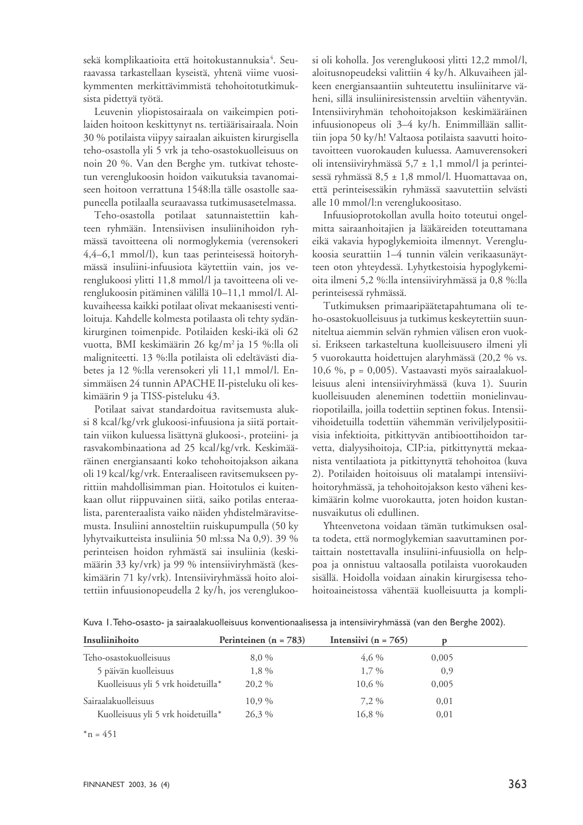sekä komplikaatioita että hoitokustannuksia<sup>4</sup>. Seuraavassa tarkastellaan kyseistä, yhtenä viime vuosikymmenten merkittävimmistä tehohoitotutkimuksista pidettyä työtä.

Leuvenin yliopistosairaala on vaikeimpien potilaiden hoitoon keskittynyt ns. tertiäärisairaala. Noin 30 % potilaista viipyy sairaalan aikuisten kirurgisella teho-osastolla yli 5 vrk ja teho-osastokuolleisuus on noin 20 %. Van den Berghe ym. tutkivat tehostetun verenglukoosin hoidon vaikutuksia tavanomaiseen hoitoon verrattuna 1548:lla tälle osastolle saapuneella potilaalla seuraavassa tutkimusasetelmassa.

Teho-osastolla potilaat satunnaistettiin kahteen ryhmään. Intensiivisen insuliinihoidon ryhmässä tavoitteena oli normoglykemia (verensokeri 4,4–6,1 mmol/l), kun taas perinteisessä hoitoryhmässä insuliini-infuusiota käytettiin vain, jos verenglukoosi ylitti 11,8 mmol/l ja tavoitteena oli verenglukoosin pitäminen välillä 10–11,1 mmol/l. Alkuvaiheessa kaikki potilaat olivat mekaanisesti ventiloituja. Kahdelle kolmesta potilaasta oli tehty sydänkirurginen toimenpide. Potilaiden keski-ikä oli 62 vuotta, BMI keskimäärin 26 kg/m<sup>2</sup> ja 15 %:lla oli maligniteetti. 13 %:lla potilaista oli edeltävästi diabetes ja 12 %:lla verensokeri yli 11,1 mmol/l. Ensimmäisen 24 tunnin APACHE II-pisteluku oli keskimäärin 9 ja TISS-pisteluku 43.

Potilaat saivat standardoitua ravitsemusta aluksi 8 kcal/kg/vrk glukoosi-infuusiona ja siitä portaittain viikon kuluessa lisättynä glukoosi-, proteiini- ja rasvakombinaationa ad 25 kcal/kg/vrk. Keskimääräinen energiansaanti koko tehohoitojakson aikana oli 19 kcal/kg/vrk. Enteraaliseen ravitsemukseen pyrittiin mahdollisimman pian. Hoitotulos ei kuitenkaan ollut riippuvainen siitä, saiko potilas enteraalista, parenteraalista vaiko näiden yhdistelmäravitsemusta. Insuliini annosteltiin ruiskupumpulla (50 ky lyhytvaikutteista insuliinia 50 ml:ssa Na 0,9). 39 % perinteisen hoidon ryhmästä sai insuliinia (keskimäärin 33 ky/vrk) ja 99 % intensiiviryhmästä (keskimäärin 71 ky/vrk). Intensiiviryhmässä hoito aloitettiin infuusionopeudella 2 ky/h, jos verenglukoosi oli koholla. Jos verenglukoosi ylitti 12,2 mmol/l, aloitusnopeudeksi valittiin 4 ky / h. Alkuvaiheen jälkeen energiansaantiin suhteutettu insuliinitarve väheni, sillä insuliiniresistenssin arveltiin vähentyvän. Intensiiviryhmän tehohoitojakson keskimääräinen infuusionopeus oli 3–4 ky/h. Enimmillään sallittiin jopa 50 ky/h! Valtaosa potilaista saavutti hoitotavoitteen vuorokauden kuluessa. Aamuverensokeri oli intensiiviryhmässä 5,7 ± 1,1 mmol/l ja perinteisessä ryhmässä  $8,5 \pm 1,8 \text{ mmol/l}$ . Huomattavaa on, että perinteisessäkin ryhmässä saavutettiin selvästi alle 10 mmol/l:n verenglukoositaso.

Infuusioprotokollan avulla hoito toteutui ongelmitta sairaanhoitajien ja lääkäreiden toteuttamana eikä vakavia hypoglykemioita ilmennyt. Verenglukoosia seurattiin 1–4 tunnin välein verikaasunäytteen oton yhteydessä. Lyhytkestoisia hypoglykemioita ilmeni 5,2 %:lla intensiiviryhmässä ja 0,8 %:lla perinteisessä ryhmässä.

Tutkimuksen primaaripäätetapahtumana oli teho-osastokuolleisuus ja tutkimus keskeytettiin suunniteltua aiemmin selvän ryhmien välisen eron vuoksi. Erikseen tarkasteltuna kuolleisuusero ilmeni yli 5 vuorokautta hoidettujen alaryhmässä (20,2 % vs. 10,6 %, p = 0,005). Vastaavasti myös sairaalakuolleisuus aleni intensiiviryhmässä (kuva 1). Suurin kuolleisuuden aleneminen todettiin monielinvauriopotilailla, joilla todettiin septinen fokus. Intensiivihoidetuilla todettiin vähemmän veriviljelypositiivisia infektioita, pitkittyvän antibioottihoidon tarvetta, dialyysihoitoja, CIP:ia, pitkittynyttä mekaanista ventilaatiota ja pitkittynyttä tehohoitoa (kuva 2). Potilaiden hoitoisuus oli matalampi intensiivihoitoryhmässä, ja tehohoitojakson kesto väheni keskimäärin kolme vuorokautta, joten hoidon kustannusvaikutus oli edullinen.

Yhteenvetona voidaan tämän tutkimuksen osalta todeta, että normoglykemian saavuttaminen portaittain nostettavalla insuliini-infuusiolla on helppoa ja onnistuu valtaosalla potilaista vuorokauden sisällä. Hoidolla voidaan ainakin kirurgisessa tehohoitoaineistossa vähentää kuolleisuutta ja kompli-

| Perinteinen (n = 783) | Intensiivi (n = $765$ )                                                  |       |  |
|-----------------------|--------------------------------------------------------------------------|-------|--|
| $8.0\%$               | $4.6\%$                                                                  | 0,005 |  |
| 1,8 %                 | $1,7\%$                                                                  | 0,9   |  |
| 20.2 %                | $10,6\%$                                                                 | 0,005 |  |
| $10.9\%$              | 7,2 %                                                                    | 0,01  |  |
| 26.3 %                | $16.8\%$                                                                 | 0.01  |  |
|                       | Kuolleisuus yli 5 vrk hoidetuilla*<br>Kuolleisuus yli 5 vrk hoidetuilla* |       |  |

Kuva 1. Teho-osasto- ja sairaalakuolleisuus konventionaalisessa ja intensiiviryhmässä (van den Berghe 2002).

 $n = 451$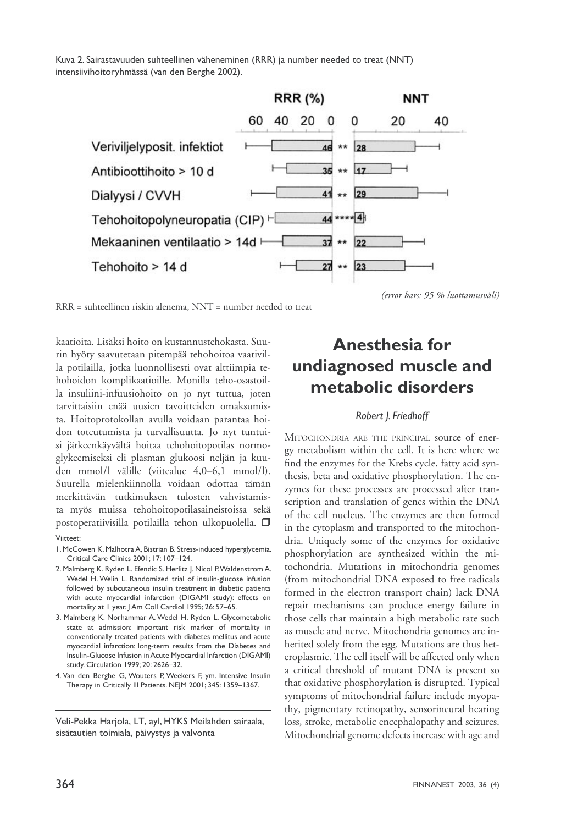Kuva 2. Sairastavuuden suhteellinen väheneminen (RRR) ja number needed to treat (NNT) intensiivihoitoryhmässä (van den Berghe 2002).



RRR = suhteellinen riskin alenema, NNT = number needed to treat

kaatioita. Lisäksi hoito on kustannustehokasta. Suurin hyöty saavutetaan pitempää tehohoitoa vaativilla potilailla, jotka luonnollisesti ovat alttiimpia tehohoidon komplikaatioille. Monilla teho-osastoilla insuliini-infuusiohoito on jo nyt tuttua, joten tarvittaisiin enää uusien tavoitteiden omaksumista. Hoitoprotokollan avulla voidaan parantaa hoidon toteutumista ja turvallisuutta. Jo nyt tuntuisi järkeenkäyvältä hoitaa tehohoitopotilas normoglykeemiseksi eli plasman glukoosi neljän ja kuuden mmol/l välille (viitealue  $4,0-6,1$  mmol/l). Suurella mielenkiinnolla voidaan odottaa tämän merkittävän tutkimuksen tulosten vahvistamista myös muissa tehohoitopotilasaineistoissa sekä postoperatiivisilla potilailla tehon ulkopuolella.  $\square$ 

#### Viitteet:

- 1. McCowen K, Malhotra A, Bistrian B. Stress-induced hyperglycemia. Critical Care Clinics 2001; 17: 107–124.
- 2. Malmberg K. Ryden L. Efendic S. Herlitz J. Nicol P. Waldenstrom A. Wedel H. Welin L. Randomized trial of insulin-glucose infusion followed by subcutaneous insulin treatment in diabetic patients with acute myocardial infarction (DIGAMI study): effects on mortality at 1 year. J Am Coll Cardiol 1995; 26: 57–65.
- 3. Malmberg K. Norhammar A. Wedel H. Ryden L. Glycometabolic state at admission: important risk marker of mortality in conventionally treated patients with diabetes mellitus and acute myocardial infarction: long-term results from the Diabetes and Insulin-Glucose Infusion in Acute Myocardial Infarction (DIGAMI) study. Circulation 1999; 20: 2626–32.
- 4. Van den Berghe G, Wouters P, Weekers F, ym. Intensive Insulin Therapy in Critically Ill Patients. NEJM 2001; 345: 1359–1367.

Veli-Pekka Harjola, LT, ayl, HYKS Meilahden sairaala, sisätautien toimiala, päivystys ja valvonta

# **Anesthesia for undiagnosed muscle and metabolic disorders**

## *Robert J. Friedhoff*

MITOCHONDRIA ARE THE PRINCIPAL source of energy metabolism within the cell. It is here where we find the enzymes for the Krebs cycle, fatty acid synthesis, beta and oxidative phosphorylation. The enzymes for these processes are processed after transcription and translation of genes within the DNA of the cell nucleus. The enzymes are then formed in the cytoplasm and transported to the mitochondria. Uniquely some of the enzymes for oxidative phosphorylation are synthesized within the mitochondria. Mutations in mitochondria genomes (from mitochondrial DNA exposed to free radicals formed in the electron transport chain) lack DNA repair mechanisms can produce energy failure in those cells that maintain a high metabolic rate such as muscle and nerve. Mitochondria genomes are inherited solely from the egg. Mutations are thus heteroplasmic. The cell itself will be affected only when a critical threshold of mutant DNA is present so that oxidative phosphorylation is disrupted. Typical symptoms of mitochondrial failure include myopathy, pigmentary retinopathy, sensorineural hearing loss, stroke, metabolic encephalopathy and seizures. Mitochondrial genome defects increase with age and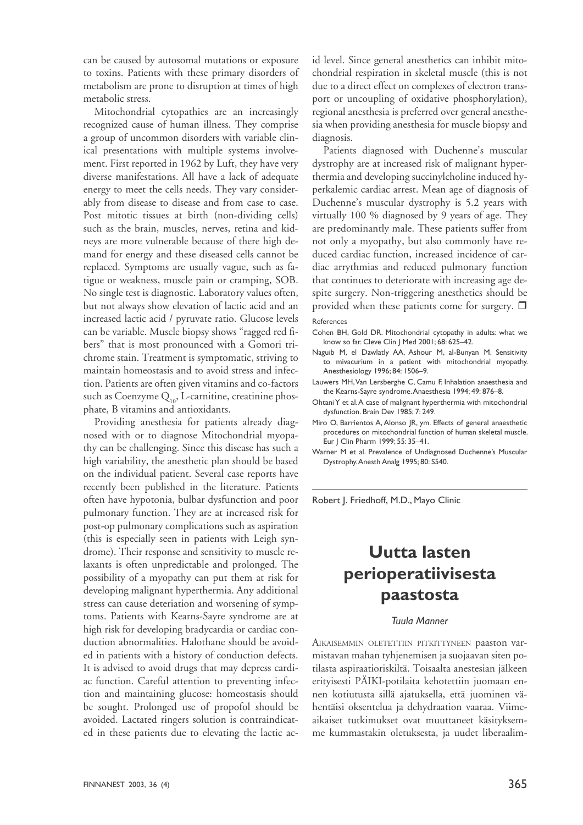can be caused by autosomal mutations or exposure to toxins. Patients with these primary disorders of metabolism are prone to disruption at times of high metabolic stress.

Mitochondrial cytopathies are an increasingly recognized cause of human illness. They comprise a group of uncommon disorders with variable clinical presentations with multiple systems involvement. First reported in 1962 by Luft, they have very diverse manifestations. All have a lack of adequate energy to meet the cells needs. They vary considerably from disease to disease and from case to case. Post mitotic tissues at birth (non-dividing cells) such as the brain, muscles, nerves, retina and kidneys are more vulnerable because of there high demand for energy and these diseased cells cannot be replaced. Symptoms are usually vague, such as fatigue or weakness, muscle pain or cramping, SOB. No single test is diagnostic. Laboratory values often, but not always show elevation of lactic acid and an increased lactic acid / pyruvate ratio. Glucose levels can be variable. Muscle biopsy shows "ragged red fibers" that is most pronounced with a Gomori trichrome stain. Treatment is symptomatic, striving to maintain homeostasis and to avoid stress and infection. Patients are often given vitamins and co-factors such as Coenzyme  $Q_{10}$ , L-carnitine, creatinine phosphate, B vitamins and antioxidants.

Providing anesthesia for patients already diagnosed with or to diagnose Mitochondrial myopathy can be challenging. Since this disease has such a high variability, the anesthetic plan should be based on the individual patient. Several case reports have recently been published in the literature. Patients often have hypotonia, bulbar dysfunction and poor pulmonary function. They are at increased risk for post-op pulmonary complications such as aspiration (this is especially seen in patients with Leigh syndrome). Their response and sensitivity to muscle relaxants is often unpredictable and prolonged. The possibility of a myopathy can put them at risk for developing malignant hyperthermia. Any additional stress can cause deteriation and worsening of symptoms. Patients with Kearns-Sayre syndrome are at high risk for developing bradycardia or cardiac conduction abnormalities. Halothane should be avoided in patients with a history of conduction defects. It is advised to avoid drugs that may depress cardiac function. Careful attention to preventing infection and maintaining glucose: homeostasis should be sought. Prolonged use of propofol should be avoided. Lactated ringers solution is contraindicated in these patients due to elevating the lactic acid level. Since general anesthetics can inhibit mitochondrial respiration in skeletal muscle (this is not due to a direct effect on complexes of electron transport or uncoupling of oxidative phosphorylation), regional anesthesia is preferred over general anesthesia when providing anesthesia for muscle biopsy and diagnosis.

Patients diagnosed with Duchenne's muscular dystrophy are at increased risk of malignant hyperthermia and developing succinylcholine induced hyperkalemic cardiac arrest. Mean age of diagnosis of Duchenne's muscular dystrophy is 5.2 years with virtually 100 % diagnosed by 9 years of age. They are predominantly male. These patients suffer from not only a myopathy, but also commonly have reduced cardiac function, increased incidence of cardiac arrythmias and reduced pulmonary function that continues to deteriorate with increasing age despite surgery. Non-triggering anesthetics should be provided when these patients come for surgery.  $\Box$ 

#### References

- Cohen BH, Gold DR. Mitochondrial cytopathy in adults: what we know so far. Cleve Clin J Med 2001; 68: 625–42.
- Naguib M, el Dawlatly AA, Ashour M, al-Bunyan M. Sensitivity to mivacurium in a patient with mitochondrial myopathy. Anesthesiology 1996; 84: 1506–9.
- Lauwers MH, Van Lersberghe C, Camu F. Inhalation anaesthesia and the Kearns-Sayre syndrome. Anaesthesia 1994; 49: 876–8.
- Ohtani Y et al. A case of malignant hyperthermia with mitochondrial dysfunction. Brain Dev 1985; 7: 249.
- Miro O, Barrientos A, Alonso JR, ym. Effects of general anaesthetic procedures on mitochondrial function of human skeletal muscle. Eur J Clin Pharm 1999; 55: 35–41.
- Warner M et al. Prevalence of Undiagnosed Duchenne's Muscular Dystrophy. Anesth Analg 1995; 80: S540.

Robert J. Friedhoff, M.D., Mayo Clinic

## **Uutta lasten perioperatiivisesta paastosta**

#### *Tuula Manner*

AIKAISEMMIN OLETETTIIN PITKITTYNEEN paaston varmistavan mahan tyhjenemisen ja suojaavan siten potilasta aspiraatioriskiltä. Toisaalta anestesian jälkeen erityisesti PÄIKI-potilaita kehotettiin juomaan ennen kotiutusta sillä ajatuksella, että juominen vähentäisi oksentelua ja dehydraation vaaraa. Viimeaikaiset tutkimukset ovat muuttaneet käsityksemme kummastakin oletuksesta, ja uudet liberaalim-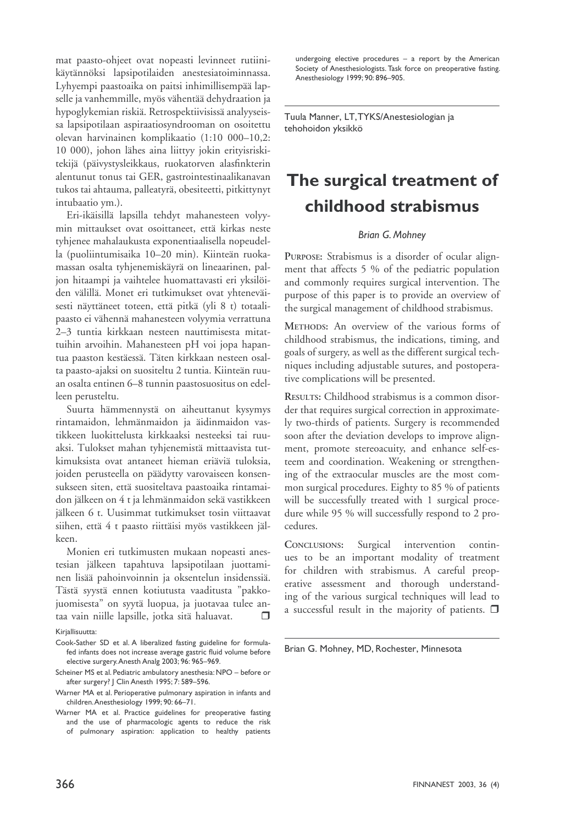mat paasto-ohjeet ovat nopeasti levinneet rutiinikäytännöksi lapsipotilaiden anestesiatoiminnassa. Lyhyempi paastoaika on paitsi inhimillisempää lapselle ja vanhemmille, myös vähentää dehydraation ja hypoglykemian riskiä. Retrospektiivisissä analyyseissa lapsipotilaan aspiraatiosyndrooman on osoitettu olevan harvinainen komplikaatio (1:10 000–10,2: 10 000), johon lähes aina liittyy jokin erityisriskitekijä (päivystysleikkaus, ruokatorven alasfinkterin alentunut tonus tai GER, gastrointestinaalikanavan tukos tai ahtauma, palleatyrä, obesiteetti, pitkittynyt intubaatio ym.).

Eri-ikäisillä lapsilla tehdyt mahanesteen volyymin mittaukset ovat osoittaneet, että kirkas neste tyhjenee mahalaukusta exponentiaalisella nopeudella (puoliintumisaika 10–20 min). Kiinteän ruokamassan osalta tyhjenemiskäyrä on lineaarinen, paljon hitaampi ja vaihtelee huomattavasti eri yksilöiden välillä. Monet eri tutkimukset ovat yhteneväisesti näyttäneet toteen, että pitkä (yli 8 t) totaalipaasto ei vähennä mahanesteen volyymia verrattuna 2–3 tuntia kirkkaan nesteen nauttimisesta mitattuihin arvoihin. Mahanesteen pH voi jopa hapantua paaston kestäessä. Täten kirkkaan nesteen osalta paasto-ajaksi on suositeltu 2 tuntia. Kiinteän ruuan osalta entinen 6–8 tunnin paastosuositus on edelleen perusteltu.

Suurta hämmennystä on aiheuttanut kysymys rintamaidon, lehmänmaidon ja äidinmaidon vastikkeen luokittelusta kirkkaaksi nesteeksi tai ruuaksi. Tulokset mahan tyhjenemistä mittaavista tutkimuksista ovat antaneet hieman eriäviä tuloksia, joiden perusteella on päädytty varovaiseen konsensukseen siten, että suositeltava paastoaika rintamaidon jälkeen on 4 t ja lehmänmaidon sekä vastikkeen jälkeen 6 t. Uusimmat tutkimukset tosin viittaavat siihen, että 4 t paasto riittäisi myös vastikkeen jälkeen.

Monien eri tutkimusten mukaan nopeasti anestesian jälkeen tapahtuva lapsipotilaan juottaminen lisää pahoinvoinnin ja oksentelun insidenssiä. Tästä syystä ennen kotiutusta vaaditusta "pakkojuomisesta" on syytä luopua, ja juotavaa tulee antaa vain niille lapsille, jotka sitä haluavat. r

Kirjallisuutta:

- Cook-Sather SD et al. A liberalized fasting guideline for formulafed infants does not increase average gastric fluid volume before elective surgery. Anesth Analg 2003; 96: 965–969.
- Scheiner MS et al. Pediatric ambulatory anesthesia: NPO before or after surgery? J Clin Anesth 1995; 7: 589–596.
- Warner MA et al. Perioperative pulmonary aspiration in infants and children. Anesthesiology 1999; 90: 66–71.
- Warner MA et al. Practice guidelines for preoperative fasting and the use of pharmacologic agents to reduce the risk of pulmonary aspiration: application to healthy patients

undergoing elective procedures – a report by the American Society of Anesthesiologists. Task force on preoperative fasting. Anesthesiology 1999; 90: 896–905.

Tuula Manner, LT, TYKS/Anestesiologian ja tehohoidon yksikkö

# **The surgical treatment of childhood strabismus**

#### *Brian G. Mohney*

**PURPOSE:** Strabismus is a disorder of ocular alignment that affects 5 % of the pediatric population and commonly requires surgical intervention. The purpose of this paper is to provide an overview of the surgical management of childhood strabismus.

**METHODS:** An overview of the various forms of childhood strabismus, the indications, timing, and goals of surgery, as well as the different surgical techniques including adjustable sutures, and postoperative complications will be presented.

**RESULTS:** Childhood strabismus is a common disorder that requires surgical correction in approximately two-thirds of patients. Surgery is recommended soon after the deviation develops to improve alignment, promote stereoacuity, and enhance self-esteem and coordination. Weakening or strengthening of the extraocular muscles are the most common surgical procedures. Eighty to 85 % of patients will be successfully treated with 1 surgical procedure while 95 % will successfully respond to 2 procedures.

**CONCLUSIONS:** Surgical intervention continues to be an important modality of treatment for children with strabismus. A careful preoperative assessment and thorough understanding of the various surgical techniques will lead to a successful result in the majority of patients.  $\square$ 

Brian G. Mohney, MD, Rochester, Minnesota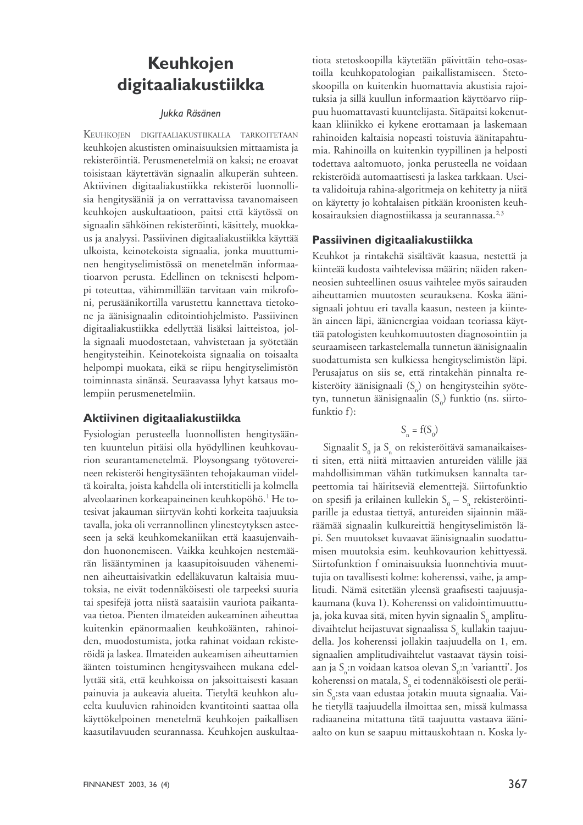## **Keuhkojen digitaaliakustiikka**

## *Jukka Räsänen*

KEUHKOJEN DIGITAALIAKUSTIIKALLA TARKOITETAAN keuhkojen akustisten ominaisuuksien mittaamista ja rekisteröintiä. Perusmenetelmiä on kaksi; ne eroavat toisistaan käytettävän signaalin alkuperän suhteen. Aktiivinen digitaaliakustiikka rekisteröi luonnollisia hengitysääniä ja on verrattavissa tavanomaiseen keuhkojen auskultaatioon, paitsi että käytössä on signaalin sähköinen rekisteröinti, käsittely, muokkaus ja analyysi. Passiivinen digitaaliakustiikka käyttää ulkoista, keinotekoista signaalia, jonka muuttuminen hengityselimistössä on menetelmän informaatioarvon perusta. Edellinen on teknisesti helpompi toteuttaa, vähimmillään tarvitaan vain mikrofoni, perusäänikortilla varustettu kannettava tietokone ja äänisignaalin editointiohjelmisto. Passiivinen digitaaliakustiikka edellyttää lisäksi laitteistoa, jolla signaali muodostetaan, vahvistetaan ja syötetään hengitysteihin. Keinotekoista signaalia on toisaalta helpompi muokata, eikä se riipu hengityselimistön toiminnasta sinänsä. Seuraavassa lyhyt katsaus molempiin perusmenetelmiin.

### **Aktiivinen digitaaliakustiikka**

Fysiologian perusteella luonnollisten hengitysäänten kuuntelun pitäisi olla hyödyllinen keuhkovaurion seurantamenetelmä. Ploysongsang työtovereineen rekisteröi hengitysäänten tehojakauman viideltä koiralta, joista kahdella oli interstitielli ja kolmella alveolaarinen korkeapaineinen keuhkopöhö. 1 He totesivat jakauman siirtyvän kohti korkeita taajuuksia tavalla, joka oli verrannollinen ylinesteytyksen asteeseen ja sekä keuhkomekaniikan että kaasujenvaihdon huononemiseen. Vaikka keuhkojen nestemäärän lisääntyminen ja kaasupitoisuuden väheneminen aiheuttaisivatkin edelläkuvatun kaltaisia muutoksia, ne eivät todennäköisesti ole tarpeeksi suuria tai spesifejä jotta niistä saataisiin vauriota paikantavaa tietoa. Pienten ilmateiden aukeaminen aiheuttaa kuitenkin epänormaalien keuhkoäänten, rahinoiden, muodostumista, jotka rahinat voidaan rekisteröidä ja laskea. Ilmateiden aukeamisen aiheuttamien äänten toistuminen hengitysvaiheen mukana edellyttää sitä, että keuhkoissa on jaksoittaisesti kasaan painuvia ja aukeavia alueita. Tietyltä keuhkon alueelta kuuluvien rahinoiden kvantitointi saattaa olla käyttökelpoinen menetelmä keuhkojen paikallisen kaasutilavuuden seurannassa. Keuhkojen auskultaa-

tiota stetoskoopilla käytetään päivittäin teho-osastoilla keuhkopatologian paikallistamiseen. Stetoskoopilla on kuitenkin huomattavia akustisia rajoituksia ja sillä kuullun informaation käyttöarvo riippuu huomattavasti kuuntelijasta. Sitäpaitsi kokenutkaan kliinikko ei kykene erottamaan ja laskemaan rahinoiden kaltaisia nopeasti toistuvia äänitapahtumia. Rahinoilla on kuitenkin tyypillinen ja helposti todettava aaltomuoto, jonka perusteella ne voidaan rekisteröidä automaattisesti ja laskea tarkkaan. Useita validoituja rahina-algoritmeja on kehitetty ja niitä on käytetty jo kohtalaisen pitkään kroonisten keuhkosairauksien diagnostiikassa ja seurannassa.<sup>2,3</sup>

## **Passiivinen digitaaliakustiikka**

Keuhkot ja rintakehä sisältävät kaasua, nestettä ja kiinteää kudosta vaihtelevissa määrin; näiden rakenneosien suhteellinen osuus vaihtelee myös sairauden aiheuttamien muutosten seurauksena. Koska äänisignaali johtuu eri tavalla kaasun, nesteen ja kiinteän aineen läpi, äänienergiaa voidaan teoriassa käyttää patologisten keuhkomuutosten diagnosointiin ja seuraamiseen tarkastelemalla tunnetun äänisignaalin suodattumista sen kulkiessa hengityselimistön läpi. Perusajatus on siis se, että rintakehän pinnalta rekisteröity äänisignaali (S<sub>n</sub>) on hengitysteihin syötetyn, tunnetun äänisignaalin  $(S_0)$  funktio (ns. siirtofunktio f):

$$
S_n = f(S_0)
$$

Signaalit  $S_0$  ja  $S_n$  on rekisteröitävä samanaikaisesti siten, että niitä mittaavien antureiden välille jää mahdollisimman vähän tutkimuksen kannalta tarpeettomia tai häiritseviä elementtejä. Siirtofunktio on spesifi ja erilainen kullekin $S_0 - S_n$ rekisteröintiparille ja edustaa tiettyä, antureiden sijainnin määräämää signaalin kulkureittiä hengityselimistön läpi. Sen muutokset kuvaavat äänisignaalin suodattumisen muutoksia esim. keuhkovaurion kehittyessä. Siirtofunktion f ominaisuuksia luonnehtivia muuttujia on tavallisesti kolme: koherenssi, vaihe, ja amplitudi. Nämä esitetään yleensä graafisesti taajuusjakaumana (kuva 1). Koherenssi on validointimuuttuja, joka kuvaa sitä, miten hyvin signaalin  $\mathcal{S}_{{}_{0}}$  amplitudivaihtelut heijastuvat signaalissa  $S_{\scriptscriptstyle \rm n}$  kullakin taajuudella. Jos koherenssi jollakin taajuudella on 1, em. signaalien amplitudivaihtelut vastaavat täysin toisiaan ja  $S_{n}$ :n voidaan katsoa olevan  $S_{0}$ :n 'variantti'. Jos koherenssi on matala,  $S_{n}$  ei todennäköisesti ole peräi- $\sin S_0$ :sta vaan edustaa jotakin muuta signaalia. Vaihe tietyllä taajuudella ilmoittaa sen, missä kulmassa radiaaneina mitattuna tätä taajuutta vastaava ääniaalto on kun se saapuu mittauskohtaan n. Koska ly-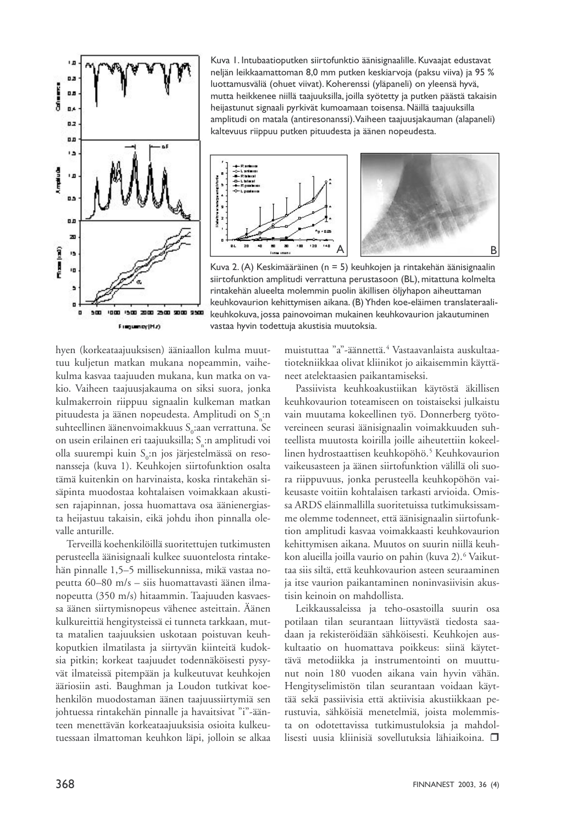

Kuva 1. Intubaatioputken siirtofunktio äänisignaalille. Kuvaajat edustavat neljän leikkaamattoman 8,0 mm putken keskiarvoja (paksu viiva) ja 95 % luottamusväliä (ohuet viivat). Koherenssi (yläpaneli) on yleensä hyvä, mutta heikkenee niillä taajuuksilla, joilla syötetty ja putken päästä takaisin heijastunut signaali pyrkivät kumoamaan toisensa. Näillä taajuuksilla amplitudi on matala (antiresonanssi). Vaiheen taajuusjakauman (alapaneli) kaltevuus riippuu putken pituudesta ja äänen nopeudesta.



Kuva 2. (A) Keskimääräinen (n = 5) keuhkojen ja rintakehän äänisignaalin siirtofunktion amplitudi verrattuna perustasoon (BL), mitattuna kolmelta rintakehän alueelta molemmin puolin äkillisen öljyhapon aiheuttaman keuhkovaurion kehittymisen aikana. (B) Yhden koe-eläimen translateraalikeuhkokuva, jossa painovoiman mukainen keuhkovaurion jakautuminen vastaa hyvin todettuja akustisia muutoksia.

hyen (korkeataajuuksisen) ääniaallon kulma muuttuu kuljetun matkan mukana nopeammin, vaihekulma kasvaa taajuuden mukana, kun matka on vakio. Vaiheen taajuusjakauma on siksi suora, jonka kulmakerroin riippuu signaalin kulkeman matkan pituudesta ja äänen nopeudesta. Amplitudi on  $S_{\textrm{n}}$ :n suhteellinen äänenvoimakkuus  $\boldsymbol{S}_0$ :aan verrattuna. Se on usein erilainen eri taajuuksilla; S<sub>n</sub>:n amplitudi voi olla suurempi kuin  $\mathcal{S}_0$ :n jos järjestelmässä on resonansseja (kuva 1). Keuhkojen siirtofunktion osalta tämä kuitenkin on harvinaista, koska rintakehän sisäpinta muodostaa kohtalaisen voimakkaan akustisen rajapinnan, jossa huomattava osa äänienergiasta heijastuu takaisin, eikä johdu ihon pinnalla olevalle anturille.

Terveillä koehenkilöillä suoritettujen tutkimusten perusteella äänisignaali kulkee suuontelosta rintakehän pinnalle 1,5–5 millisekunnissa, mikä vastaa nopeutta 60–80 m/s – siis huomattavasti äänen ilmanopeutta (350 m/s) hitaammin. Taajuuden kasvaessa äänen siirtymisnopeus vähenee asteittain. Äänen kulkureittiä hengitysteissä ei tunneta tarkkaan, mutta matalien taajuuksien uskotaan poistuvan keuhkoputkien ilmatilasta ja siirtyvän kiinteitä kudoksia pitkin; korkeat taajuudet todennäköisesti pysyvät ilmateissä pitempään ja kulkeutuvat keuhkojen ääriosiin asti. Baughman ja Loudon tutkivat koehenkilön muodostaman äänen taajuussiirtymiä sen johtuessa rintakehän pinnalle ja havaitsivat "i"-äänteen menettävän korkeataajuuksisia osioita kulkeutuessaan ilmattoman keuhkon läpi, jolloin se alkaa

muistuttaa "a"-äännettä. 4 Vastaavanlaista auskultaatiotekniikkaa olivat kliinikot jo aikaisemmin käyttäneet atelektaasien paikantamiseksi.

Passiivista keuhkoakustiikan käytöstä äkillisen keuhkovaurion toteamiseen on toistaiseksi julkaistu vain muutama kokeellinen työ. Donnerberg työtovereineen seurasi äänisignaalin voimakkuuden suhteellista muutosta koirilla joille aiheutettiin kokeellinen hydrostaattisen keuhkopöhö.<sup>5</sup> Keuhkovaurion vaikeusasteen ja äänen siirtofunktion välillä oli suora riippuvuus, jonka perusteella keuhkopöhön vaikeusaste voitiin kohtalaisen tarkasti arvioida. Omissa ARDS eläinmallilla suoritetuissa tutkimuksissamme olemme todenneet, että äänisignaalin siirtofunktion amplitudi kasvaa voimakkaasti keuhkovaurion kehittymisen aikana. Muutos on suurin niillä keuhkon alueilla joilla vaurio on pahin (kuva 2).<sup>6</sup> Vaikuttaa siis siltä, että keuhkovaurion asteen seuraaminen ja itse vaurion paikantaminen noninvasiivisin akustisin keinoin on mahdollista.

Leikkaussaleissa ja teho-osastoilla suurin osa potilaan tilan seurantaan liittyvästä tiedosta saadaan ja rekisteröidään sähköisesti. Keuhkojen auskultaatio on huomattava poikkeus: siinä käytettävä metodiikka ja instrumentointi on muuttunut noin 180 vuoden aikana vain hyvin vähän. Hengityselimistön tilan seurantaan voidaan käyttää sekä passiivisia että aktiivisia akustiikkaan perustuvia, sähköisiä menetelmiä, joista molemmista on odotettavissa tutkimustuloksia ja mahdollisesti uusia kliinisiä sovellutuksia lähiaikoina.  $\Box$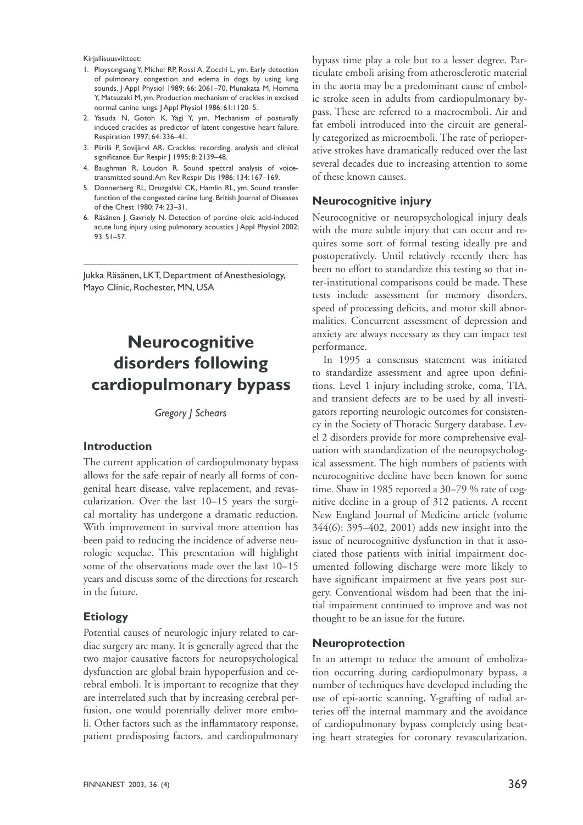Kirjallisuusviitteet:

- 1. Ploysongsang Y, Michel RP, Rossi A, Zocchi L, ym. Early detection of pulmonary congestion and edema in dogs by using lung sounds. J Appl Physiol 1989; 66: 2061–70. Munakata M, Homma Y, Matsuzaki M, ym. Production mechanism of crackles in excised normal canine lungs. J Appl Physiol 1986; 61:1120–5.
- 2. Yasuda N, Gotoh K, Yagi Y, ym. Mechanism of posturally induced crackles as predictor of latent congestive heart failure. Respiration 1997; 64: 336–41.
- 3. Piirilä P, Sovijärvi AR. Crackles: recording, analysis and clinical significance. Eur Respir J 1995; 8: 2139-48.
- 4. Baughman R, Loudon R. Sound spectral analysis of voicetransmitted sound. Am Rev Respir Dis 1986; 134: 167–169.
- 5. Donnerberg RL, Druzgalski CK, Hamlin RL, ym. Sound transfer function of the congested canine lung. British Journal of Diseases of the Chest 1980; 74: 23–31.
- 6. Räsänen J, Gavriely N. Detection of porcine oleic acid-induced acute lung injury using pulmonary acoustics J Appl Physiol 2002; 93: 51–57.

Jukka Räsänen, LKT, Department of Anesthesiology, Mayo Clinic, Rochester, MN, USA

# **Neurocognitive disorders following cardiopulmonary bypass**

*Gregory J Schears*

#### **Introduction**

The current application of cardiopulmonary bypass allows for the safe repair of nearly all forms of congenital heart disease, valve replacement, and revascularization. Over the last 10–15 years the surgical mortality has undergone a dramatic reduction. With improvement in survival more attention has been paid to reducing the incidence of adverse neurologic sequelae. This presentation will highlight some of the observations made over the last 10–15 years and discuss some of the directions for research in the future.

## **Etiology**

Potential causes of neurologic injury related to cardiac surgery are many. It is generally agreed that the two major causative factors for neuropsychological dysfunction are global brain hypoperfusion and cerebral emboli. It is important to recognize that they are interrelated such that by increasing cerebral perfusion, one would potentially deliver more emboli. Other factors such as the inflammatory response, patient predisposing factors, and cardiopulmonary bypass time play a role but to a lesser degree. Particulate emboli arising from atherosclerotic material in the aorta may be a predominant cause of embolic stroke seen in adults from cardiopulmonary bypass. These are referred to a macroemboli. Air and fat emboli introduced into the circuit are generally categorized as microemboli. The rate of perioperative strokes have dramatically reduced over the last several decades due to increasing attention to some of these known causes.

## **Neurocognitive injury**

Neurocognitive or neuropsychological injury deals with the more subtle injury that can occur and requires some sort of formal testing ideally pre and postoperatively. Until relatively recently there has been no effort to standardize this testing so that inter-institutional comparisons could be made. These tests include assessment for memory disorders, speed of processing deficits, and motor skill abnormalities. Concurrent assessment of depression and anxiety are always necessary as they can impact test performance.

In 1995 a consensus statement was initiated to standardize assessment and agree upon definitions. Level 1 injury including stroke, coma, TIA, and transient defects are to be used by all investigators reporting neurologic outcomes for consistency in the Society of Thoracic Surgery database. Level 2 disorders provide for more comprehensive evaluation with standardization of the neuropsychological assessment. The high numbers of patients with neurocognitive decline have been known for some time. Shaw in 1985 reported a 30–79 % rate of cognitive decline in a group of 312 patients. A recent New England Journal of Medicine article (volume 344(6): 395–402, 2001) adds new insight into the issue of neurocognitive dysfunction in that it associated those patients with initial impairment documented following discharge were more likely to have significant impairment at five years post surgery. Conventional wisdom had been that the initial impairment continued to improve and was not thought to be an issue for the future.

#### **Neuroprotection**

In an attempt to reduce the amount of embolization occurring during cardiopulmonary bypass, a number of techniques have developed including the use of epi-aortic scanning, Y-grafting of radial arteries off the internal mammary and the avoidance of cardiopulmonary bypass completely using beating heart strategies for coronary revascularization.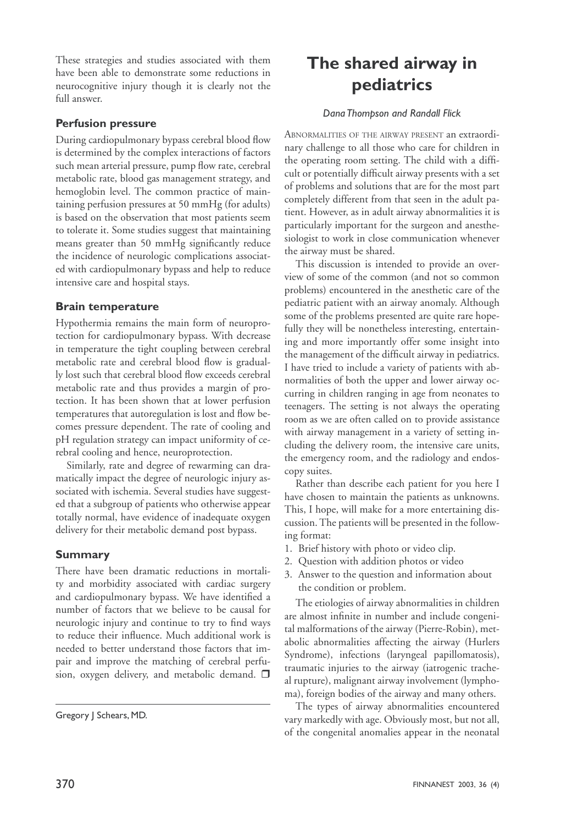These strategies and studies associated with them have been able to demonstrate some reductions in neurocognitive injury though it is clearly not the full answer.

## **Perfusion pressure**

During cardiopulmonary bypass cerebral blood flow is determined by the complex interactions of factors such mean arterial pressure, pump flow rate, cerebral metabolic rate, blood gas management strategy, and hemoglobin level. The common practice of maintaining perfusion pressures at 50 mmHg (for adults) is based on the observation that most patients seem to tolerate it. Some studies suggest that maintaining means greater than 50 mmHg significantly reduce the incidence of neurologic complications associated with cardiopulmonary bypass and help to reduce intensive care and hospital stays.

## **Brain temperature**

Hypothermia remains the main form of neuroprotection for cardiopulmonary bypass. With decrease in temperature the tight coupling between cerebral metabolic rate and cerebral blood flow is gradually lost such that cerebral blood flow exceeds cerebral metabolic rate and thus provides a margin of protection. It has been shown that at lower perfusion temperatures that autoregulation is lost and flow becomes pressure dependent. The rate of cooling and pH regulation strategy can impact uniformity of cerebral cooling and hence, neuroprotection.

Similarly, rate and degree of rewarming can dramatically impact the degree of neurologic injury associated with ischemia. Several studies have suggested that a subgroup of patients who otherwise appear totally normal, have evidence of inadequate oxygen delivery for their metabolic demand post bypass.

## **Summary**

There have been dramatic reductions in mortality and morbidity associated with cardiac surgery and cardiopulmonary bypass. We have identified a number of factors that we believe to be causal for neurologic injury and continue to try to find ways to reduce their influence. Much additional work is needed to better understand those factors that impair and improve the matching of cerebral perfusion, oxygen delivery, and metabolic demand.  $\square$ 

# **The shared airway in pediatrics**

## *Dana Thompson and Randall Flick*

ABNORMALITIES OF THE AIRWAY PRESENT an extraordinary challenge to all those who care for children in the operating room setting. The child with a difficult or potentially difficult airway presents with a set of problems and solutions that are for the most part completely different from that seen in the adult patient. However, as in adult airway abnormalities it is particularly important for the surgeon and anesthesiologist to work in close communication whenever the airway must be shared.

This discussion is intended to provide an overview of some of the common (and not so common problems) encountered in the anesthetic care of the pediatric patient with an airway anomaly. Although some of the problems presented are quite rare hopefully they will be nonetheless interesting, entertaining and more importantly offer some insight into the management of the difficult airway in pediatrics. I have tried to include a variety of patients with abnormalities of both the upper and lower airway occurring in children ranging in age from neonates to teenagers. The setting is not always the operating room as we are often called on to provide assistance with airway management in a variety of setting including the delivery room, the intensive care units, the emergency room, and the radiology and endoscopy suites.

Rather than describe each patient for you here I have chosen to maintain the patients as unknowns. This, I hope, will make for a more entertaining discussion. The patients will be presented in the following format:

- 1. Brief history with photo or video clip.
- 2. Question with addition photos or video
- 3. Answer to the question and information about the condition or problem.

The etiologies of airway abnormalities in children are almost infinite in number and include congenital malformations of the airway (Pierre-Robin), metabolic abnormalities affecting the airway (Hurlers Syndrome), infections (laryngeal papillomatosis), traumatic injuries to the airway (iatrogenic tracheal rupture), malignant airway involvement (lymphoma), foreign bodies of the airway and many others.

The types of airway abnormalities encountered vary markedly with age. Obviously most, but not all, of the congenital anomalies appear in the neonatal

Gregory J Schears, MD.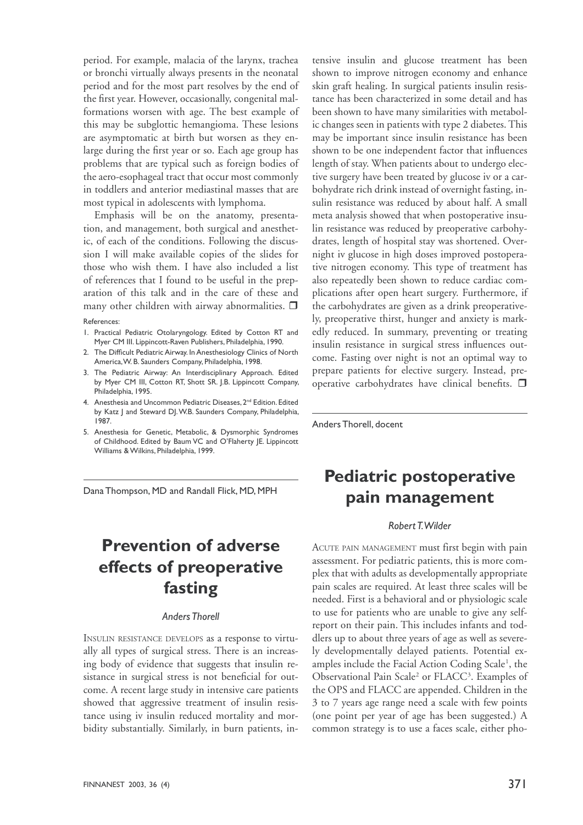period. For example, malacia of the larynx, trachea or bronchi virtually always presents in the neonatal period and for the most part resolves by the end of the first year. However, occasionally, congenital malformations worsen with age. The best example of this may be subglottic hemangioma. These lesions are asymptomatic at birth but worsen as they enlarge during the first year or so. Each age group has problems that are typical such as foreign bodies of the aero-esophageal tract that occur most commonly in toddlers and anterior mediastinal masses that are most typical in adolescents with lymphoma.

Emphasis will be on the anatomy, presentation, and management, both surgical and anesthetic, of each of the conditions. Following the discussion I will make available copies of the slides for those who wish them. I have also included a list of references that I found to be useful in the preparation of this talk and in the care of these and many other children with airway abnormalities.  $\Box$ 

#### References:

- 1. Practical Pediatric Otolaryngology. Edited by Cotton RT and Myer CM III. Lippincott-Raven Publishers, Philadelphia, 1990.
- 2. The Difficult Pediatric Airway. In Anesthesiology Clinics of North America, W. B. Saunders Company, Philadelphia, 1998.
- 3. The Pediatric Airway: An Interdisciplinary Approach. Edited by Myer CM III, Cotton RT, Shott SR. J.B. Lippincott Company, Philadelphia, 1995.
- 4. Anesthesia and Uncommon Pediatric Diseases, 2<sup>nd</sup> Edition. Edited by Katz J and Steward DJ. W.B. Saunders Company, Philadelphia, 1987.
- 5. Anesthesia for Genetic, Metabolic, & Dysmorphic Syndromes of Childhood. Edited by Baum VC and O'Flaherty JE. Lippincott Williams & Wilkins, Philadelphia, 1999.

Dana Thompson, MD and Randall Flick, MD, MPH

## **Prevention of adverse effects of preoperative fasting**

#### *Anders Thorell*

INSULIN RESISTANCE DEVELOPS as a response to virtually all types of surgical stress. There is an increasing body of evidence that suggests that insulin resistance in surgical stress is not beneficial for outcome. A recent large study in intensive care patients showed that aggressive treatment of insulin resistance using iv insulin reduced mortality and morbidity substantially. Similarly, in burn patients, intensive insulin and glucose treatment has been shown to improve nitrogen economy and enhance skin graft healing. In surgical patients insulin resistance has been characterized in some detail and has been shown to have many similarities with metabolic changes seen in patients with type 2 diabetes. This may be important since insulin resistance has been shown to be one independent factor that influences length of stay. When patients about to undergo elective surgery have been treated by glucose iv or a carbohydrate rich drink instead of overnight fasting, insulin resistance was reduced by about half. A small meta analysis showed that when postoperative insulin resistance was reduced by preoperative carbohydrates, length of hospital stay was shortened. Overnight iv glucose in high doses improved postoperative nitrogen economy. This type of treatment has also repeatedly been shown to reduce cardiac complications after open heart surgery. Furthermore, if the carbohydrates are given as a drink preoperatively, preoperative thirst, hunger and anxiety is markedly reduced. In summary, preventing or treating insulin resistance in surgical stress influences outcome. Fasting over night is not an optimal way to prepare patients for elective surgery. Instead, preoperative carbohydrates have clinical benefits.  $\square$ 

Anders Thorell, docent

## **Pediatric postoperative pain management**

#### *Robert T. Wilder*

ACUTE PAIN MANAGEMENT must first begin with pain assessment. For pediatric patients, this is more complex that with adults as developmentally appropriate pain scales are required. At least three scales will be needed. First is a behavioral and or physiologic scale to use for patients who are unable to give any selfreport on their pain. This includes infants and toddlers up to about three years of age as well as severely developmentally delayed patients. Potential examples include the Facial Action Coding Scale<sup>1</sup>, the Observational Pain Scale<sup>2</sup> or FLACC<sup>3</sup>. Examples of the OPS and FLACC are appended. Children in the 3 to 7 years age range need a scale with few points (one point per year of age has been suggested.) A common strategy is to use a faces scale, either pho-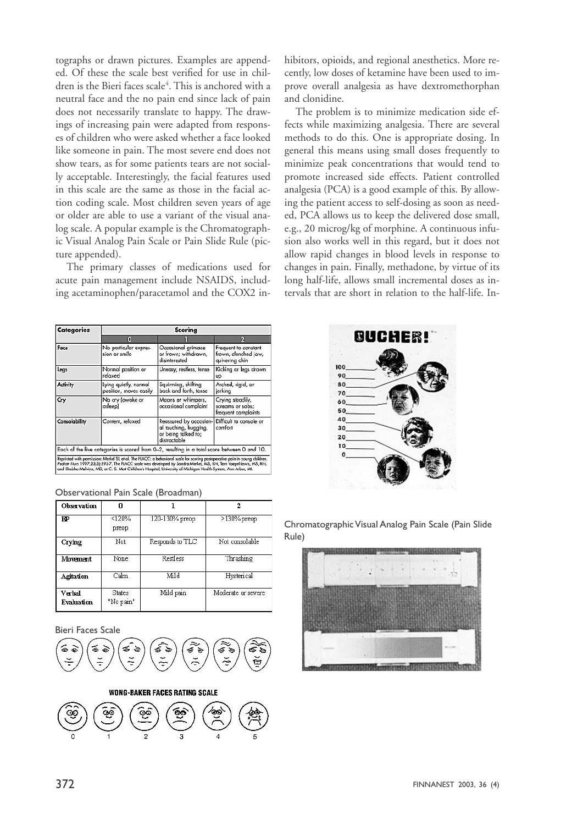tographs or drawn pictures. Examples are appended. Of these the scale best verified for use in children is the Bieri faces scale<sup>4</sup>. This is anchored with a neutral face and the no pain end since lack of pain does not necessarily translate to happy. The drawings of increasing pain were adapted from responses of children who were asked whether a face looked like someone in pain. The most severe end does not show tears, as for some patients tears are not socially acceptable. Interestingly, the facial features used in this scale are the same as those in the facial action coding scale. Most children seven years of age or older are able to use a variant of the visual analog scale. A popular example is the Chromatographic Visual Analog Pain Scale or Pain Slide Rule (picture appended).

The primary classes of medications used for acute pain management include NSAIDS, including acetaminophen/paracetamol and the COX2 inhibitors, opioids, and regional anesthetics. More recently, low doses of ketamine have been used to improve overall analgesia as have dextromethorphan and clonidine.

The problem is to minimize medication side effects while maximizing analgesia. There are several methods to do this. One is appropriate dosing. In general this means using small doses frequently to minimize peak concentrations that would tend to promote increased side effects. Patient controlled analgesia (PCA) is a good example of this. By allowing the patient access to self-dosing as soon as needed, PCA allows us to keep the delivered dose small, e.g., 20 microg/kg of morphine. A continuous infusion also works well in this regard, but it does not allow rapid changes in blood levels in response to changes in pain. Finally, methadone, by virtue of its long half-life, allows small incremental doses as intervals that are short in relation to the half-life. In-

| <b>Categories</b> | Scoring                                                                                      |                                                                                        |                                                                |  |
|-------------------|----------------------------------------------------------------------------------------------|----------------------------------------------------------------------------------------|----------------------------------------------------------------|--|
|                   | o                                                                                            |                                                                                        | О                                                              |  |
| Foce              | No particular expres-<br>sion or smile                                                       | Occasional arimace<br>or frown: withdrawn.<br>disinterested                            | Frequent to constant<br>frown, clenched jaw,<br>quivering chin |  |
| Legs              | Normal position or<br>relaxed                                                                | Uneasy, restless, tense                                                                | Kicking or legs drawn<br>UP                                    |  |
| Activity          | Lying quietly, normal<br>position, moves easily                                              | Squirming, shifting<br>back and forth, tense                                           | Arched, rigid, or<br>jerking                                   |  |
| Cry               | No cry (awake or<br>asleep)                                                                  | Moans or whimpers,<br>occasional complaint                                             | Crying steadily,<br>screams or sobs;<br>frequent complaints    |  |
| Consolability     | Content, relaxed                                                                             | Reassured by occasion-<br>al touching, hugging,<br>or being talked to:<br>distractable | Difficult to console or<br>comfort                             |  |
|                   | Each of the five categories is scored from 0-2, resulting in a total score between 0 and 10. |                                                                                        |                                                                |  |

| Observation          | n                          |                 |                    |
|----------------------|----------------------------|-----------------|--------------------|
| ЕΡ                   | <120%<br>preop             | 120-130% preop  | >130% preop        |
| Crying               | Not.                       | Responds to TLC | Not consolable     |
| Movement             | None                       | Restless        | Thrashing          |
| Agitation            | Calm                       | Mild            | Hysterical         |
| Verbal<br>Evaluation | <b>States</b><br>"No pain" | Mild pain       | Moderate or severe |

Observational Pain Scale (Broadman)

Bieri Faces Scale



**WONG-BAKER FACES RATING SCALE** 





Chromatographic Visual Analog Pain Scale (Pain Slide Rule)

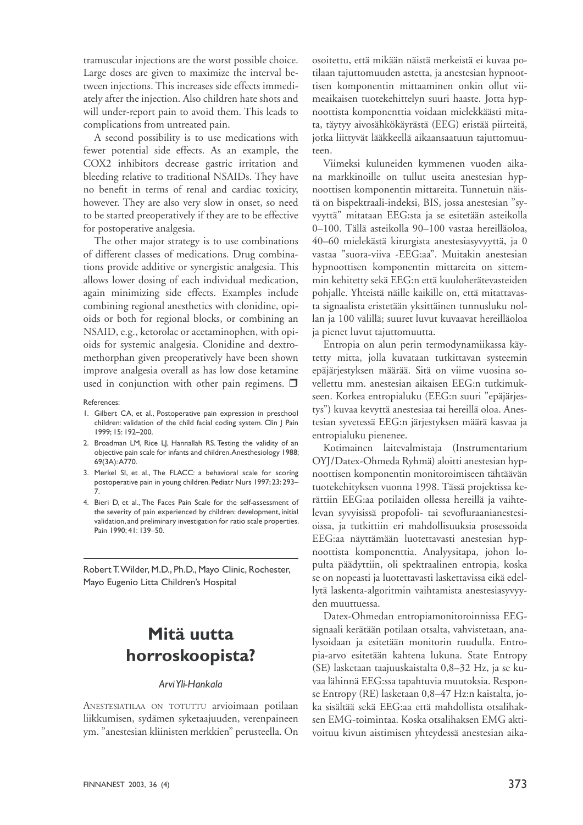tramuscular injections are the worst possible choice. Large doses are given to maximize the interval between injections. This increases side effects immediately after the injection. Also children hate shots and will under-report pain to avoid them. This leads to complications from untreated pain.

A second possibility is to use medications with fewer potential side effects. As an example, the COX2 inhibitors decrease gastric irritation and bleeding relative to traditional NSAIDs. They have no benefit in terms of renal and cardiac toxicity, however. They are also very slow in onset, so need to be started preoperatively if they are to be effective for postoperative analgesia.

The other major strategy is to use combinations of different classes of medications. Drug combinations provide additive or synergistic analgesia. This allows lower dosing of each individual medication, again minimizing side effects. Examples include combining regional anesthetics with clonidine, opioids or both for regional blocks, or combining an NSAID, e.g., ketorolac or acetaminophen, with opioids for systemic analgesia. Clonidine and dextromethorphan given preoperatively have been shown improve analgesia overall as has low dose ketamine used in conjunction with other pain regimens.  $\Box$ 

#### References:

- 1. Gilbert CA, et al., Postoperative pain expression in preschool children: validation of the child facial coding system. Clin J Pain 1999; 15: 192–200.
- 2. Broadman LM, Rice LJ, Hannallah RS. Testing the validity of an objective pain scale for infants and children. Anesthesiology 1988; 69(3A): A770.
- 3. Merkel SI, et al., The FLACC: a behavioral scale for scoring postoperative pain in young children. Pediatr Nurs 1997; 23: 293– 7.
- 4. Bieri D, et al., The Faces Pain Scale for the self-assessment of the severity of pain experienced by children: development, initial validation, and preliminary investigation for ratio scale properties. Pain 1990; 41: 139–50.

Robert T. Wilder, M.D., Ph.D., Mayo Clinic, Rochester, Mayo Eugenio Litta Children's Hospital

## **Mitä uutta horroskoopista?**

#### *Arvi Yli-Hankala*

ANESTESIATILAA ON TOTUTTU arvioimaan potilaan liikkumisen, sydämen syketaajuuden, verenpaineen ym. "anestesian kliinisten merkkien" perusteella. On

osoitettu, että mikään näistä merkeistä ei kuvaa potilaan tajuttomuuden astetta, ja anestesian hypnoottisen komponentin mittaaminen onkin ollut viimeaikaisen tuotekehittelyn suuri haaste. Jotta hypnoottista komponenttia voidaan mielekkäästi mitata, täytyy aivosähkökäyrästä (EEG) eristää piirteitä, jotka liittyvät lääkkeellä aikaansaatuun tajuttomuuteen.

Viimeksi kuluneiden kymmenen vuoden aikana markkinoille on tullut useita anestesian hypnoottisen komponentin mittareita. Tunnetuin näistä on bispektraali-indeksi, BIS, jossa anestesian "syvyyttä" mitataan EEG:sta ja se esitetään asteikolla 0–100. Tällä asteikolla 90–100 vastaa hereilläoloa, 40–60 mielekästä kirurgista anestesiasyvyyttä, ja 0 vastaa "suora-viiva -EEG:aa". Muitakin anestesian hypnoottisen komponentin mittareita on sittemmin kehitetty sekä EEG:n että kuuloherätevasteiden pohjalle. Yhteistä näille kaikille on, että mitattavasta signaalista eristetään yksittäinen tunnusluku nollan ja 100 välillä; suuret luvut kuvaavat hereilläoloa ja pienet luvut tajuttomuutta.

Entropia on alun perin termodynamiikassa käytetty mitta, jolla kuvataan tutkittavan systeemin epäjärjestyksen määrää. Sitä on viime vuosina sovellettu mm. anestesian aikaisen EEG:n tutkimukseen. Korkea entropialuku (EEG:n suuri "epäjärjestys") kuvaa kevyttä anestesiaa tai hereillä oloa. Anestesian syvetessä EEG:n järjestyksen määrä kasvaa ja entropialuku pienenee.

Kotimainen laitevalmistaja (Instrumentarium OYJ / Datex-Ohmeda Ryhmä) aloitti anestesian hypnoottisen komponentin monitoroimiseen tähtäävän tuotekehityksen vuonna 1998. Tässä projektissa kerättiin EEG:aa potilaiden ollessa hereillä ja vaihtelevan syvyisissä propofoli- tai sevofluraanianestesioissa, ja tutkittiin eri mahdollisuuksia prosessoida EEG:aa näyttämään luotettavasti anestesian hypnoottista komponenttia. Analyysitapa, johon lopulta päädyttiin, oli spektraalinen entropia, koska se on nopeasti ja luotettavasti laskettavissa eikä edellytä laskenta-algoritmin vaihtamista anestesiasyvyyden muuttuessa.

Datex-Ohmedan entropiamonitoroinnissa EEGsignaali kerätään potilaan otsalta, vahvistetaan, analysoidaan ja esitetään monitorin ruudulla. Entropia-arvo esitetään kahtena lukuna. State Entropy (SE) lasketaan taajuuskaistalta 0,8–32 Hz, ja se kuvaa lähinnä EEG:ssa tapahtuvia muutoksia. Response Entropy (RE) lasketaan 0,8–47 Hz:n kaistalta, joka sisältää sekä EEG:aa että mahdollista otsalihaksen EMG-toimintaa. Koska otsalihaksen EMG aktivoituu kivun aistimisen yhteydessä anestesian aika-